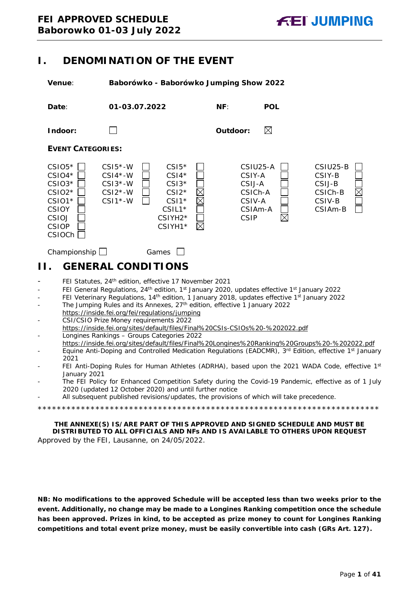# <span id="page-0-0"></span>**I. DENOMINATION OF THE EVENT**

**Venue**: **Baborówko - Baborówko Jumping Show 2022**



- <span id="page-0-1"></span>FEI Statutes, 24<sup>th</sup> edition, effective 17 November 2021
- FEI General Regulations, 24<sup>th</sup> edition, 1<sup>st</sup> January 2020, updates effective 1<sup>st</sup> January 2022
- FEI Veterinary Regulations, 14<sup>th</sup> edition, 1 January 2018, updates effective 1<sup>st</sup> January 2022
- The Jumping Rules and its Annexes, 27<sup>th</sup> edition, effective 1 January 2022 https://inside.fei.org/fei/regulations/jumping
- CSI/CSIO Prize Money requirements 2022 https://inside.fei.org/sites/default/files/Final%20CSIs-CSIOs%20-%202022.pdf - Longines Rankings – Groups Categories 2022
- https://inside.fei.org/sites/default/files/Final%20Longines%20Ranking%20Groups%20-%202022.pdf
- Equine Anti-Doping and Controlled Medication Regulations (EADCMR), 3<sup>rd</sup> Edition, effective 1<sup>st</sup> January 2021
- FEI Anti-Doping Rules for Human Athletes (ADRHA), based upon the 2021 WADA Code, effective 1st January 2021
- The FEI Policy for Enhanced Competition Safety during the Covid-19 Pandemic, effective as of 1 July 2020 (updated 12 October 2020) and until further notice
- All subsequent published revisions/updates, the provisions of which will take precedence.

\*\*\*\*\*\*\*\*\*\*\*\*\*\*\*\*\*\*\*\*\*\*\*\*\*\*\*\*\*\*\*\*\*\*\*\*\*\*\*\*\*\*\*\*\*\*\*\*\*\*\*\*\*\*\*\*\*\*\*\*\*\*\*\*\*\*\*\*\*\*\*

**THE ANNEXE(S) IS/ARE PART OF THIS APPROVED AND SIGNED SCHEDULE AND MUST BE DISTRIBUTED TO ALL OFFICIALS AND NFs AND IS AVAILABLE TO OTHERS UPON REQUEST** Approved by the FEI, Lausanne, on 24/05/2022.

**NB: No modifications to the approved Schedule will be accepted less than two weeks prior to the event. Additionally, no change may be made to a Longines Ranking competition once the schedule has been approved. Prizes in kind, to be accepted as prize money to count for Longines Ranking competitions and total event prize money, must be easily convertible into cash (GRs Art. 127).**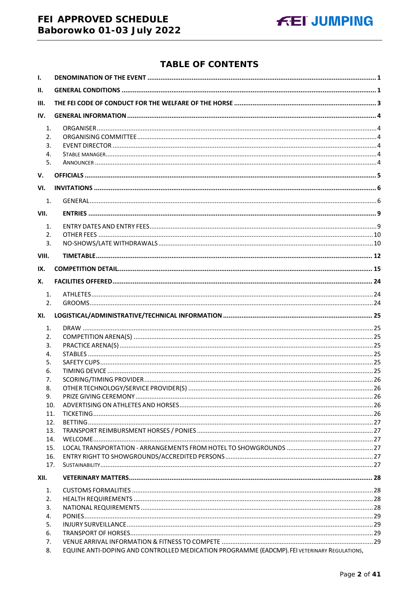# **TABLE OF CONTENTS**

| $\mathbf{I}$ . |                                                                                              |  |
|----------------|----------------------------------------------------------------------------------------------|--|
| II.            |                                                                                              |  |
| III.           |                                                                                              |  |
| IV.            |                                                                                              |  |
| 1.             |                                                                                              |  |
| 2.             |                                                                                              |  |
| 3.             |                                                                                              |  |
| 4.             |                                                                                              |  |
| 5.             |                                                                                              |  |
| V.             |                                                                                              |  |
| VI.            |                                                                                              |  |
| 1.             |                                                                                              |  |
| VII.           |                                                                                              |  |
| 1.             |                                                                                              |  |
| 2.             |                                                                                              |  |
| 3.             |                                                                                              |  |
| VIII.          |                                                                                              |  |
| IX.            |                                                                                              |  |
| Х.             |                                                                                              |  |
| 1.             |                                                                                              |  |
| 2.             |                                                                                              |  |
| XI.            |                                                                                              |  |
| 1.             |                                                                                              |  |
| 2.             |                                                                                              |  |
| 3.             |                                                                                              |  |
| 4.<br>5.       |                                                                                              |  |
| 6.             |                                                                                              |  |
| 7.             |                                                                                              |  |
| 8.             |                                                                                              |  |
| 9.             |                                                                                              |  |
| 10.            |                                                                                              |  |
| 11.<br>12.     |                                                                                              |  |
| 13.            |                                                                                              |  |
| 14.            |                                                                                              |  |
| 15.            |                                                                                              |  |
| 16.            |                                                                                              |  |
| 17.            |                                                                                              |  |
| XII.           |                                                                                              |  |
| 1.             |                                                                                              |  |
| 2.             |                                                                                              |  |
| 3.             |                                                                                              |  |
| 4.<br>5.       |                                                                                              |  |
| 6.             |                                                                                              |  |
| 7.             |                                                                                              |  |
| 8.             | EQUINE ANTI-DOPING AND CONTROLLED MEDICATION PROGRAMME (EADCMP). FEI VETERINARY REGULATIONS, |  |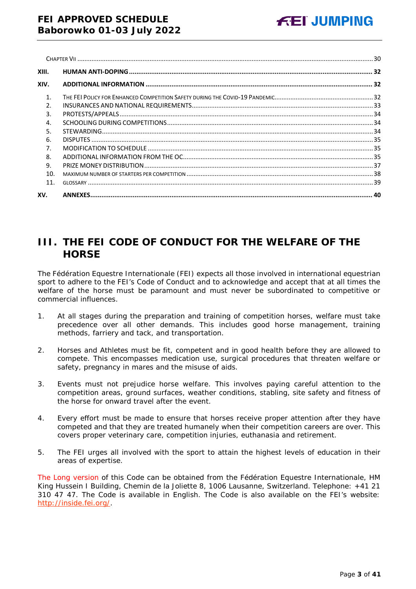| XIII.         |  |
|---------------|--|
| XIV.          |  |
| $\mathbf{1}$  |  |
| $\mathcal{P}$ |  |
| 3.            |  |
| 4.            |  |
| .5.           |  |
| 6.            |  |
| 7.            |  |
| 8.            |  |
| 9.            |  |
| 10.           |  |
| 11.           |  |
| XV.           |  |

# <span id="page-2-0"></span>**III. THE FEI CODE OF CONDUCT FOR THE WELFARE OF THE HORSE**

The Fédération Equestre Internationale (FEI) expects all those involved in international equestrian sport to adhere to the FEI's Code of Conduct and to acknowledge and accept that at all times the welfare of the horse must be paramount and must never be subordinated to competitive or commercial influences.

- 1. At all stages during the preparation and training of competition horses, welfare must take precedence over all other demands. This includes good horse management, training methods, farriery and tack, and transportation.
- 2. Horses and Athletes must be fit, competent and in good health before they are allowed to compete. This encompasses medication use, surgical procedures that threaten welfare or safety, pregnancy in mares and the misuse of aids.
- 3. Events must not prejudice horse welfare. This involves paying careful attention to the competition areas, ground surfaces, weather conditions, stabling, site safety and fitness of the horse for onward travel after the event.
- 4. Every effort must be made to ensure that horses receive proper attention after they have competed and that they are treated humanely when their competition careers are over. This covers proper veterinary care, competition injuries, euthanasia and retirement.
- 5. The FEI urges all involved with the sport to attain the highest levels of education in their areas of expertise.

The Long version of this Code can be obtained from the Fédération Equestre Internationale, HM King Hussein I Building, Chemin de la Joliette 8, 1006 Lausanne, Switzerland. Telephone: +41 21 310 47 47. The Code is available in English. The Code is also available on the FEI's website: [http://inside.fei.org/.](http://inside.fei.org/)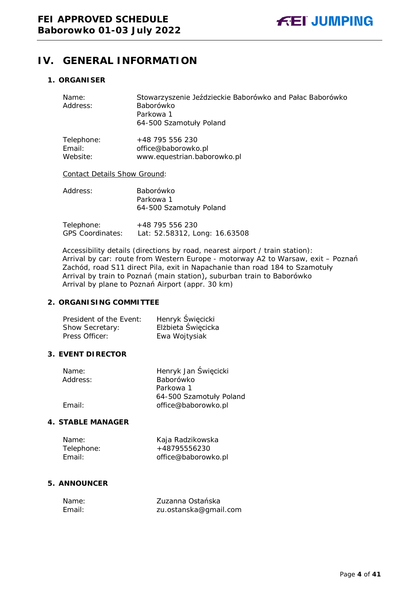# <span id="page-3-0"></span>**IV. GENERAL INFORMATION**

# <span id="page-3-1"></span>**1. ORGANISER**

| Name:<br>Address:                   | Stowarzyszenie Jeździeckie Baborówko and Pałac Baborówko<br><b>Baborówko</b><br>Parkowa 1<br>64-500 Szamotuły Poland |
|-------------------------------------|----------------------------------------------------------------------------------------------------------------------|
| Telephone:<br>Email:<br>Website:    | +48 795 556 230<br>office@baborowko.pl<br>www.equestrian.baborowko.pl                                                |
| <b>Contact Details Show Ground:</b> |                                                                                                                      |
| Address:                            | Baborówko<br>Parkowa 1                                                                                               |

| Telephone:       | +48 795 556 230               |  |
|------------------|-------------------------------|--|
| GPS Coordinates: | Lat: 52.58312, Long: 16.63508 |  |

64-500 Szamotuły Poland

Accessibility details (directions by road, nearest airport / train station): Arrival by car: route from Western Europe - motorway A2 to Warsaw, exit – Poznań Zachód, road S11 direct Pila, exit in Napachanie than road 184 to Szamotuły Arrival by train to Poznań (main station), suburban train to Baborówko Arrival by plane to Poznań Airport (appr. 30 km)

# <span id="page-3-2"></span>**2. ORGANISING COMMITTEE**

| President of the Event: | Henryk Święcicki   |
|-------------------------|--------------------|
| Show Secretary:         | Elżbieta Święcicka |
| Press Officer:          | Ewa Wojtysiak      |

# <span id="page-3-3"></span>**3. EVENT DIRECTOR**

| Name:    | Henryk Jan Święcicki    |
|----------|-------------------------|
| Address: | Baborówko               |
|          | Parkowa 1               |
|          | 64-500 Szamotuły Poland |
| Email:   | office@baborowko.pl     |
|          |                         |

### <span id="page-3-4"></span>**4. STABLE MANAGER**

| Name:      | Kaja Radzikowska    |
|------------|---------------------|
| Telephone: | +48795556230        |
| Email:     | office@baborowko.pl |

# <span id="page-3-5"></span>**5. ANNOUNCER**

| Name:  | Zuzanna Ostańska      |
|--------|-----------------------|
| Email: | zu.ostanska@gmail.com |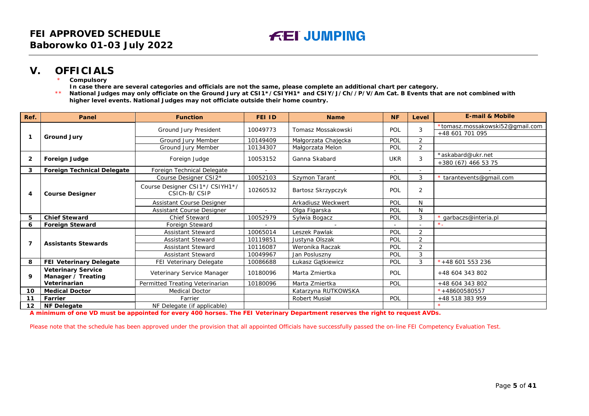# **V. OFFICIALS**

**Compulsory** 

**In case there are several categories and officials are not the same, please complete an additional chart per category.**

\*\* **National Judges may only officiate on the Ground Jury at CSI1\*/CSIYH1\* and CSIY/J/Ch//P/V/Am Cat. B Events that are not combined with higher level events. National Judges may not officiate outside their home country.**

| Ref.         | Panel                                           | <b>Function</b>                                 | <b>FEI ID</b> | <b>Name</b>         | <b>NF</b>                | Level          | <b>E-mail &amp; Mobile</b>      |
|--------------|-------------------------------------------------|-------------------------------------------------|---------------|---------------------|--------------------------|----------------|---------------------------------|
|              |                                                 |                                                 | 10049773      | Tomasz Mossakowski  | POL                      | 3              | *tomasz.mossakowski52@gmail.com |
|              |                                                 | Ground Jury President                           |               |                     |                          |                | +48 601 701 095                 |
| 1            | <b>Ground Jury</b>                              | Ground Jury Member                              | 10149409      | Małgorzata Chajęcka | POL                      | $\overline{2}$ |                                 |
|              |                                                 | Ground Jury Member                              | 10134307      | Małgorzata Melon    | POL                      | 2              |                                 |
|              |                                                 |                                                 | 10053152      | Ganna Skabard       | <b>UKR</b>               | 3              | *askabard@ukr.net               |
| $\mathbf{2}$ | Foreign Judge                                   | Foreign Judge                                   |               |                     |                          |                | $+380(67)4665375$               |
| 3            | <b>Foreign Technical Delegate</b>               | Foreign Technical Delegate                      | $\sim$        |                     | $\overline{\phantom{a}}$ | $\sim$         |                                 |
|              |                                                 | Course Designer CSI2*                           | 10052103      | Szymon Tarant       | POL                      | 3              | * tarantevents@gmail.com        |
| 4            | <b>Course Designer</b>                          | Course Designer CSI1*/ CSIYH1*/<br>CSICh-B/CSIP | 10260532      | Bartosz Skrzypczyk  | POL                      | 2              |                                 |
|              |                                                 | Assistant Course Designer                       |               | Arkadiusz Weckwert  | POL                      | N              |                                 |
|              |                                                 | Assistant Course Designer                       | $\sim$        | Olga Figarska       | POL                      | N              |                                 |
| 5            | <b>Chief Steward</b>                            | <b>Chief Steward</b>                            | 10052979      | Sylwia Bogacz       | POL                      | 3              | garbaczs@interia.pl             |
|              | <b>Foreign Steward</b>                          | Foreign Steward                                 |               |                     |                          |                | $\star$                         |
|              | 7<br><b>Assistants Stewards</b>                 | <b>Assistant Steward</b>                        | 10065014      | Leszek Pawlak       | POL                      | $\overline{2}$ |                                 |
|              |                                                 | <b>Assistant Steward</b>                        | 10119851      | Justyna Olszak      | POL                      | 2              |                                 |
|              |                                                 | Assistant Steward                               | 10116087      | Weronika Raczak     | POL                      | $\overline{2}$ |                                 |
|              |                                                 | <b>Assistant Steward</b>                        | 10049967      | Jan Posluszny       | POL                      | 3              |                                 |
| 8            | FEI Veterinary Delegate                         | FEI Veterinary Delegate                         | 10086688      | Łukasz Gątkiewicz   | POL                      | 3              | $*+48601553236$                 |
| 9            | <b>Veterinary Service</b><br>Manager / Treating | Veterinary Service Manager                      | 10180096      | Marta Zmiertka      | POL                      |                | +48 604 343 802                 |
|              | Veterinarian                                    | Permitted Treating Veterinarian                 | 10180096      | Marta Zmiertka      | <b>POL</b>               |                | +48 604 343 802                 |
| 10           | <b>Medical Doctor</b>                           | <b>Medical Doctor</b>                           |               | Katarzyna RUTKOWSKA |                          |                | $* + 48600580557$               |
| 11           | Farrier                                         | Farrier                                         |               | Robert Musiał       | POL                      |                | +48 518 383 959                 |
| 12           | <b>NF Delegate</b>                              | NF Delegate (if applicable)                     |               |                     |                          |                |                                 |

<span id="page-4-0"></span>**A minimum of one VD must be appointed for every 400 horses. The FEI Veterinary Department reserves the right to request AVDs.**

Please note that the schedule has been approved under the provision that all appointed Officials have successfully passed the on-line FEI Competency Evaluation Test.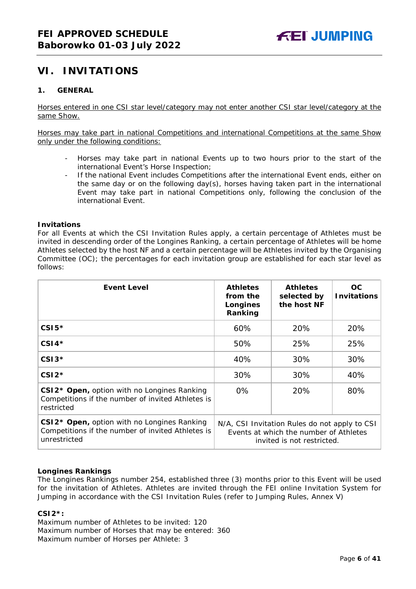# <span id="page-5-0"></span>**VI. INVITATIONS**

# <span id="page-5-1"></span>**1. GENERAL**

Horses entered in one CSI star level/category may not enter another CSI star level/category at the same Show.

Horses may take part in national Competitions and international Competitions at the same Show only under the following conditions:

- Horses may take part in national Events up to two hours prior to the start of the international Event's Horse Inspection;
- If the national Event includes Competitions after the international Event ends, either on the same day or on the following day(s), horses having taken part in the international Event may take part in national Competitions only, following the conclusion of the international Event.

#### **Invitations**

For all Events at which the CSI Invitation Rules apply, a certain percentage of Athletes must be invited in descending order of the Longines Ranking, a certain percentage of Athletes will be home Athletes selected by the host NF and a certain percentage will be Athletes invited by the Organising Committee (OC); the percentages for each invitation group are established for each star level as follows:

| <b>Event Level</b>                                                                                                           | <b>Athletes</b><br>from the<br>Longines<br>Ranking                                                                    | <b>Athletes</b><br>selected by<br>the host NF | OC.<br><b>Invitations</b> |
|------------------------------------------------------------------------------------------------------------------------------|-----------------------------------------------------------------------------------------------------------------------|-----------------------------------------------|---------------------------|
| $CSI5*$                                                                                                                      | 60%                                                                                                                   | 20%                                           | 20%                       |
| $CSI4*$                                                                                                                      | 50%                                                                                                                   | 25%                                           | 25%                       |
| $CSI3*$                                                                                                                      | 40%                                                                                                                   | 30%                                           | 30%                       |
| $CSI2*$                                                                                                                      | 30%                                                                                                                   | 30%                                           | 40%                       |
| CSI2* Open, option with no Longines Ranking<br>Competitions if the number of invited Athletes is<br>restricted               | $0\%$                                                                                                                 | 20%                                           | 80%                       |
| CSI2 <sup>*</sup> Open, option with no Longines Ranking<br>Competitions if the number of invited Athletes is<br>unrestricted | N/A, CSI Invitation Rules do not apply to CSI<br>Events at which the number of Athletes<br>invited is not restricted. |                                               |                           |

# **Longines Rankings**

The Longines Rankings number 254, established three (3) months prior to this Event will be used for the invitation of Athletes. Athletes are invited through the FEI online Invitation System for Jumping in accordance with the CSI Invitation Rules (refer to Jumping Rules, Annex V)

# **CSI2\*:**

Maximum number of Athletes to be invited: 120 Maximum number of Horses that may be entered: 360 Maximum number of Horses per Athlete: 3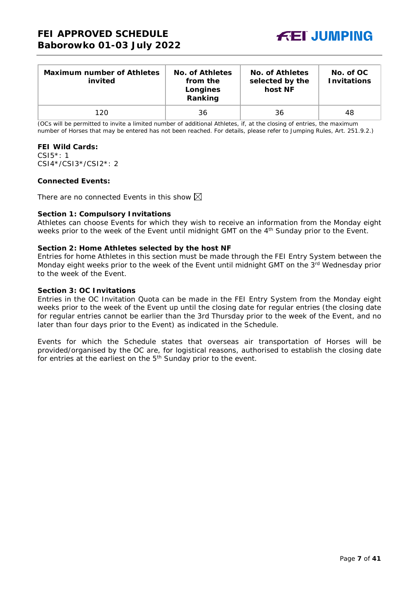

| <b>Maximum number of Athletes</b><br>invited | No. of Athletes<br>from the<br>Longines<br>Ranking | No. of Athletes<br>selected by the<br>host NF | No. of OC<br><b>Invitations</b> |
|----------------------------------------------|----------------------------------------------------|-----------------------------------------------|---------------------------------|
| 120                                          | 36                                                 | 36                                            | 48                              |

(OCs will be permitted to invite a limited number of additional Athletes, if, at the closing of entries, the maximum number of Horses that may be entered has not been reached. For details, please refer to Jumping Rules, Art. 251.9.2.)

#### **FEI Wild Cards:**

CSI5\*: 1 CSI4\*/CSI3\*/CSI2\*: 2

# **Connected Events:**

There are no connected Events in this show  $\boxtimes$ 

#### **Section 1: Compulsory Invitations**

Athletes can choose Events for which they wish to receive an information from the Monday eight weeks prior to the week of the Event until midnight GMT on the 4<sup>th</sup> Sunday prior to the Event.

#### **Section 2: Home Athletes selected by the host NF**

Entries for home Athletes in this section must be made through the FEI Entry System between the Monday eight weeks prior to the week of the Event until midnight GMT on the 3<sup>rd</sup> Wednesday prior to the week of the Event.

#### **Section 3: OC Invitations**

Entries in the OC Invitation Quota can be made in the FEI Entry System from the Monday eight weeks prior to the week of the Event up until the closing date for regular entries (the closing date for regular entries cannot be earlier than the 3rd Thursday prior to the week of the Event, and no later than four days prior to the Event) as indicated in the Schedule.

Events for which the Schedule states that overseas air transportation of Horses will be provided/organised by the OC are, for logistical reasons, authorised to establish the closing date for entries at the earliest on the 5<sup>th</sup> Sunday prior to the event.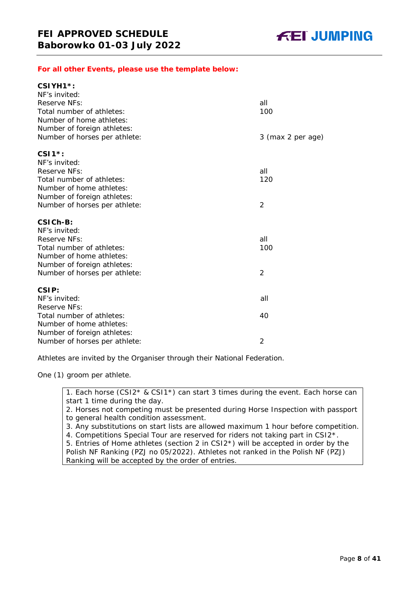# *For all other Events, please use the template below:*

| $CSIVH1*$ :                   |                   |
|-------------------------------|-------------------|
| NF's invited:                 |                   |
| Reserve NFs:                  | all               |
| Total number of athletes:     | 100               |
| Number of home athletes:      |                   |
| Number of foreign athletes:   |                   |
| Number of horses per athlete: | 3 (max 2 per age) |
| $CSI1*$ :                     |                   |
| NF's invited:                 |                   |
| Reserve NFs:                  | all               |
| Total number of athletes:     | 120               |
| Number of home athletes:      |                   |
| Number of foreign athletes:   |                   |
| Number of horses per athlete: | $\overline{2}$    |
| CSICH-B:                      |                   |
| NF's invited:                 |                   |
| Reserve NFs:                  | all               |
| Total number of athletes:     | 100               |
| Number of home athletes:      |                   |
| Number of foreign athletes:   |                   |
| Number of horses per athlete: | $\overline{2}$    |
| CSIP:                         |                   |
| NF's invited:                 | all               |
| Reserve NFs:                  |                   |
| Total number of athletes:     | 40                |
| Number of home athletes:      |                   |
| Number of foreign athletes:   |                   |
| Number of horses per athlete: | 2                 |

Athletes are invited by the Organiser through their National Federation.

One (1) groom per athlete.

1. Each horse (CSI2\* & CSI1\*) can start 3 times during the event. Each horse can start 1 time during the day.

2. Horses not competing must be presented during Horse Inspection with passport to general health condition assessment.

3. Any substitutions on start lists are allowed maximum 1 hour before competition.

4. Competitions Special Tour are reserved for riders not taking part in CSI2\*.

5. Entries of Home athletes (section 2 in CSI2\*) will be accepted in order by the Polish NF Ranking (PZJ no 05/2022). Athletes not ranked in the Polish NF (PZJ) Ranking will be accepted by the order of entries.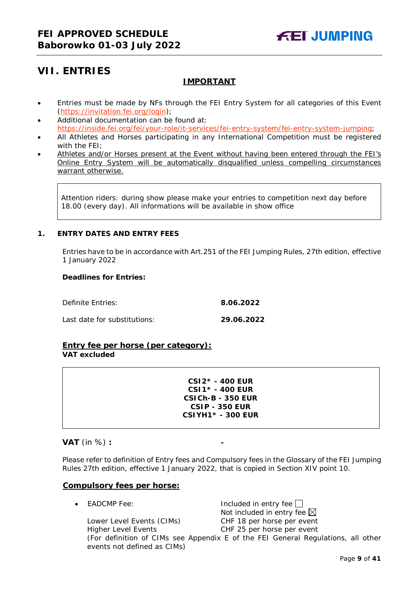# <span id="page-8-0"></span>**VII. ENTRIES**

# **IMPORTANT**

- Entries must be made by NFs through the FEI Entry System for all categories of this Event [\(https://invitation.fei.org/login\)](https://invitation.fei.org/login);
- Additional documentation can be found at: [https://inside.fei.org/fei/your-role/it-services/fei-entry-system/fei-entry-system-jumping;](https://inside.fei.org/fei/your-role/it-services/fei-entry-system/fei-entry-system-jumping)
- All Athletes and Horses participating in any International Competition must be registered with the FEI;
- Athletes and/or Horses present at the Event without having been entered through the FEI's Online Entry System will be automatically disqualified unless compelling circumstances warrant otherwise.

Attention riders: during show please make your entries to competition next day before 18.00 (every day). All informations will be available in show office

# <span id="page-8-1"></span>**1. ENTRY DATES AND ENTRY FEES**

Entries have to be in accordance with Art.251 of the FEI Jumping Rules, 27th edition, effective 1 January 2022

#### **Deadlines for Entries:**

| Definite Entries:            | 8.06.2022  |
|------------------------------|------------|
| Last date for substitutions: | 29.06.2022 |

# **Entry fee per horse** *(per category):* **VAT excluded**

**CSI2\* - 400 EUR CSI1\* - 400 EUR CSICh-B - 350 EUR CSIP - 350 EUR CSIYH1\* - 300 EUR**

# **VAT** (in %) **: -**

Please refer to definition of Entry fees and Compulsory fees in the Glossary of the FEI Jumping Rules 27th edition, effective 1 January 2022, that is copied in Section XIV point 10.

#### **Compulsory fees per horse:**

 $E$ ADCMP Fee:  $\qquad \qquad$  Included in entry fee  $\Box$ Not included in entry fee  $\boxtimes$ Lower Level Events (CIMs) CHF 18 per horse per event Higher Level Events CHF 25 per horse per event

(For definition of CIMs see Appendix E of the FEI General Regulations, all other events not defined as CIMs)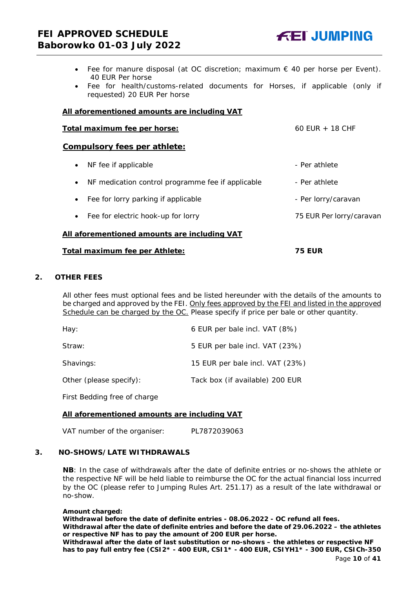- Fee for manure disposal (at OC discretion; maximum  $\epsilon$  40 per horse per Event). 40 EUR Per horse
- Fee for health/customs-related documents for Horses, if applicable (only if requested) 20 EUR Per horse

#### **All aforementioned amounts are including VAT**

| Total maximum fee per horse:                                   | 60 EUR $+$ 18 CHF   |  |  |
|----------------------------------------------------------------|---------------------|--|--|
| Compulsory fees per athlete:                                   |                     |  |  |
| NF fee if applicable<br>$\bullet$                              | - Per athlete       |  |  |
| NF medication control programme fee if applicable<br>$\bullet$ | - Per athlete       |  |  |
| Fee for lorry parking if applicable<br>$\bullet$               | - Per lorry/caravan |  |  |

• Fee for electric hook-up for lorry **75 EUR Per lorry/caravan** 

# **All aforementioned amounts are including VAT**

#### **Total maximum fee per Athlete: 75 EUR**

#### <span id="page-9-0"></span>**2. OTHER FEES**

All other fees must optional fees and be listed hereunder with the details of the amounts to be charged and approved by the FEI. Only fees approved by the FEI and listed in the approved Schedule can be charged by the OC. *Please specify if price per bale or other quantity.*

| Hay:                    | 6 EUR per bale incl. VAT (8%)   |
|-------------------------|---------------------------------|
| Straw:                  | 5 EUR per bale incl. VAT (23%)  |
| Shavings:               | 15 EUR per bale incl. VAT (23%) |
| Other (please specify): | Tack box (if available) 200 EUR |

First Bedding free of charge

# **All aforementioned amounts are including VAT**

VAT number of the organiser: PL7872039063

#### <span id="page-9-1"></span>**3. NO-SHOWS/LATE WITHDRAWALS**

**NB**: In the case of withdrawals after the date of definite entries or no-shows the athlete or the respective NF will be held liable to reimburse the OC for the actual financial loss incurred by the OC (please refer to Jumping Rules Art. 251.17) as a result of the late withdrawal or no-show.

#### **Amount charged:**

**Withdrawal before the date of definite entries - 08.06.2022 - OC refund all fees. Withdrawal after the date of definite entries and before the date of 29.06.2022 – the athletes or respective NF has to pay the amount of 200 EUR per horse.**

**Withdrawal after the date of last substitution or no-shows – the athletes or respective NF has to pay full entry fee (CSI2\* - 400 EUR, CSI1\* - 400 EUR, CSIYH1\* - 300 EUR, CSICh-350**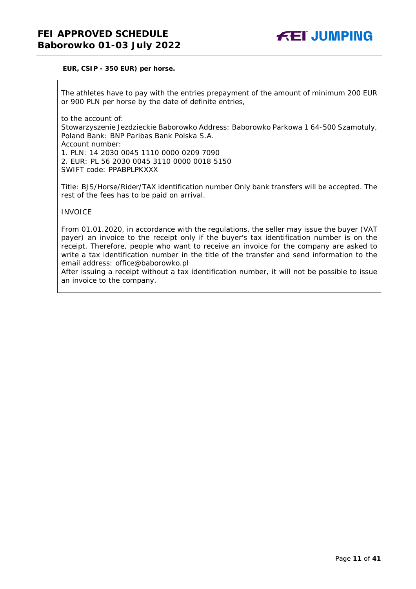#### **EUR, CSIP - 350 EUR) per horse.**

The athletes have to pay with the entries prepayment of the amount of minimum 200 EUR or 900 PLN per horse by the date of definite entries,

to the account of: Stowarzyszenie Jezdzieckie Baborowko Address: Baborowko Parkowa 1 64-500 Szamotuly, Poland Bank: BNP Paribas Bank Polska S.A. Account number: 1. PLN: 14 2030 0045 1110 0000 0209 7090 2. EUR: PL 56 2030 0045 3110 0000 0018 5150 SWIFT code: PPABPLPKXXX

Title: BJS/Horse/Rider/TAX identification number Only bank transfers will be accepted. The rest of the fees has to be paid on arrival.

INVOICE

From 01.01.2020, in accordance with the regulations, the seller may issue the buyer (VAT payer) an invoice to the receipt only if the buyer's tax identification number is on the receipt. Therefore, people who want to receive an invoice for the company are asked to write a tax identification number in the title of the transfer and send information to the email address: office@baborowko.pl

After issuing a receipt without a tax identification number, it will not be possible to issue an invoice to the company.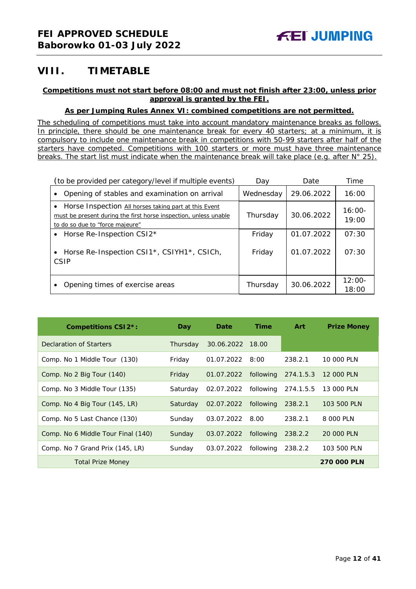# <span id="page-11-0"></span>**VIII. TIMETABLE**

# **Competitions must not start before 08:00 and must not finish after 23:00, unless prior approval is granted by the FEI.**

# **As per Jumping Rules Annex VI: combined competitions are not permitted.**

*The scheduling of competitions must take into account mandatory maintenance breaks as follows. In principle, there should be one maintenance break for every 40 starters; at a minimum, it is compulsory to include one maintenance break in competitions with 50-99 starters after half of the starters have competed. Competitions with 100 starters or more must have three maintenance breaks. The start list must indicate when the maintenance break will take place (e.g. after N° 25).*

| (to be provided per category/level if multiple events)                                                                                                       | Dav       | Date       | Time              |
|--------------------------------------------------------------------------------------------------------------------------------------------------------------|-----------|------------|-------------------|
| Opening of stables and examination on arrival                                                                                                                | Wednesday | 29.06.2022 | 16:00             |
| Horse Inspection All horses taking part at this Event<br>must be present during the first horse inspection, unless unable<br>to do so due to "force majeure" | Thursday  | 30.06.2022 | $16:00-$<br>19:00 |
| Horse Re-Inspection CSI2*<br>$\bullet$                                                                                                                       | Friday    | 01.07.2022 | 07:30             |
| Horse Re-Inspection CSI1*, CSIYH1*, CSICh,<br>CSIP                                                                                                           | Friday    | 01.07.2022 | 07:30             |
| Opening times of exercise areas                                                                                                                              | Thursday  | 30.06.2022 | $12:00-$<br>18:00 |

| <b>Competitions CSI2*:</b>         | Day      | Date             | <b>Time</b> | <b>Art</b> | <b>Prize Money</b> |
|------------------------------------|----------|------------------|-------------|------------|--------------------|
| Declaration of Starters            | Thursday | 30.06.2022 18.00 |             |            |                    |
| Comp. No 1 Middle Tour (130)       | Friday   | 01.07.2022       | 8:00        | 238.2.1    | 10 000 PLN         |
| Comp. No 2 Big Tour (140)          | Friday   | 01.07.2022       | following   | 274.1.5.3  | 12 000 PLN         |
| Comp. No 3 Middle Tour (135)       | Saturday | 02.07.2022       | following   | 274.1.5.5  | 13 000 PLN         |
| Comp. No 4 Big Tour (145, LR)      | Saturday | 02.07.2022       | following   | 238.2.1    | 103 500 PLN        |
| Comp. No 5 Last Chance (130)       | Sunday   | 03.07.2022       | 8.00        | 238.2.1    | 8 000 PLN          |
| Comp. No 6 Middle Tour Final (140) | Sunday   | 03.07.2022       | following   | 238.2.2    | 20 000 PLN         |
| Comp. No 7 Grand Prix (145, LR)    | Sunday   | 03.07.2022       | following   | 238.2.2    | 103 500 PLN        |
| <b>Total Prize Money</b>           |          |                  |             |            | <b>270 000 PLN</b> |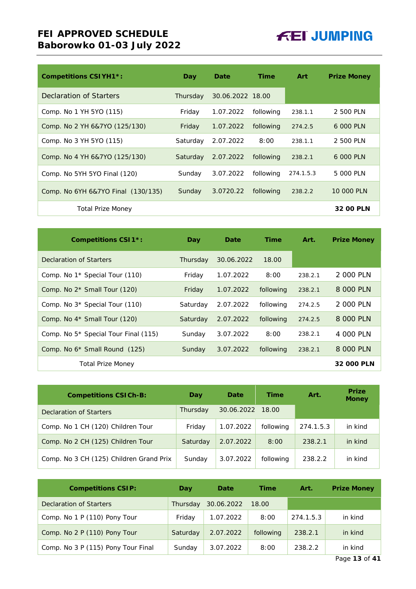| <b>Competitions CSIYH1*:</b>       | Day      | Date             | <b>Time</b> | <b>Art</b> | <b>Prize Money</b> |
|------------------------------------|----------|------------------|-------------|------------|--------------------|
| <b>Declaration of Starters</b>     | Thursday | 30.06.2022 18.00 |             |            |                    |
| Comp. No 1 YH 5YO (115)            | Friday   | 1.07.2022        | following   | 238.1.1    | 2 500 PLN          |
| Comp. No 2 YH 6&7YO (125/130)      | Friday   | 1.07.2022        | following   | 274.2.5    | 6 000 PLN          |
| Comp. No 3 YH 5YO (115)            | Saturday | 2.07.2022        | 8:00        | 238.1.1    | 2 500 PLN          |
| Comp. No 4 YH 6&7YO (125/130)      | Saturday | 2.07.2022        | following   | 238.2.1    | 6 000 PLN          |
| Comp. No 5YH 5YO Final (120)       | Sunday   | 3.07.2022        | following   | 274.1.5.3  | 5 000 PLN          |
| Comp. No 6YH 6&7YO Final (130/135) | Sunday   | 3.0720.22        | following   | 238.2.2    | 10 000 PLN         |
| <b>Total Prize Money</b>           |          |                  |             |            | 32 00 PLN          |

| <b>Competitions CSI1*:</b>                       | Day      | Date       | <b>Time</b> | Art.    | <b>Prize Money</b> |
|--------------------------------------------------|----------|------------|-------------|---------|--------------------|
| Declaration of Starters                          | Thursday | 30.06.2022 | 18.00       |         |                    |
| Comp. No 1 <sup>*</sup> Special Tour (110)       | Friday   | 1.07.2022  | 8:00        | 238.2.1 | 2000 PLN           |
| Comp. No $2*$ Small Tour (120)                   | Friday   | 1.07.2022  | following   | 238.2.1 | 8 000 PLN          |
| Comp. No $3*$ Special Tour (110)                 | Saturday | 2.07.2022  | following   | 274.2.5 | 2 000 PLN          |
| Comp. No $4*$ Small Tour (120)                   | Saturday | 2.07.2022  | following   | 274.2.5 | 8 000 PLN          |
| Comp. No 5 <sup>*</sup> Special Tour Final (115) | Sunday   | 3.07.2022  | 8:00        | 238.2.1 | 4 000 PLN          |
| Comp. No 6 <sup>*</sup> Small Round (125)        | Sunday   | 3.07.2022  | following   | 238.2.1 | 8 000 PLN          |
| <b>Total Prize Money</b>                         |          |            |             |         | 32 000 PLN         |

| <b>Competitions CSICh-B:</b>            | Day      | Date       | <b>Time</b> | Art.      | <b>Prize</b><br><b>Money</b> |
|-----------------------------------------|----------|------------|-------------|-----------|------------------------------|
| Declaration of Starters                 | Thursday | 30.06.2022 | 18.00       |           |                              |
| Comp. No 1 CH (120) Children Tour       | Friday   | 1.07.2022  | following   | 274.1.5.3 | in kind                      |
| Comp. No 2 CH (125) Children Tour       | Saturday | 2.07.2022  | 8:00        | 238.2.1   | in kind                      |
| Comp. No 3 CH (125) Children Grand Prix | Sunday   | 3.07.2022  | following   | 238.2.2   | in kind                      |

| <b>Competitions CSIP:</b>          | Day      | Date       | Time      | Art.      | <b>Prize Money</b> |
|------------------------------------|----------|------------|-----------|-----------|--------------------|
| Declaration of Starters            | Thursday | 30.06.2022 | 18.00     |           |                    |
| Comp. No 1 P (110) Pony Tour       | Friday   | 1.07.2022  | 8:00      | 274.1.5.3 | in kind            |
| Comp. No 2 P (110) Pony Tour       | Saturday | 2.07.2022  | following | 238.2.1   | in kind            |
| Comp. No 3 P (115) Pony Tour Final | Sunday   | 3.07.2022  | 8:00      | 238.2.2   | in kind            |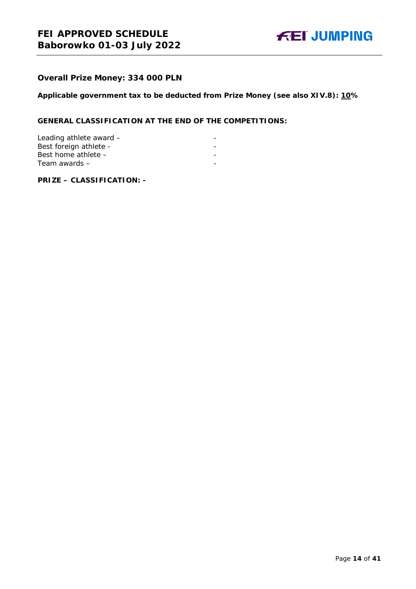

# **Overall Prize Money: 334 000 PLN**

**Applicable government tax to be deducted from Prize Money (see also XIV.8): 10%**

# **GENERAL CLASSIFICATION AT THE END OF THE COMPETITIONS:**

| Leading athlete award - |  |
|-------------------------|--|
| Best foreign athlete -  |  |
| Best home athlete $-$   |  |
| Team awards –           |  |

**PRIZE – CLASSIFICATION: -**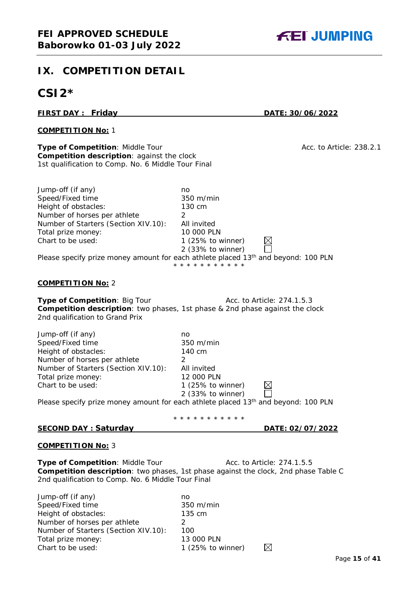# <span id="page-14-0"></span>**IX. COMPETITION DETAIL**

# **CSI2\***

# **FIRST DAY : Friday DATE: 30/06/2022**

# **COMPETITION No:** 1

**Type of Competition**: Middle Tour Acc. to Article: 238.2.1 **Competition description**: against the clock 1st qualification to Comp. No. 6 Middle Tour Final

Jump-off (if any) no Speed/Fixed time 350 m/min Height of obstacles: 130 cm Number of horses per athlete 2 Number of Starters (Section XIV.10): All invited Total prize money: 10 000 PLN<br>Chart to be used: 1 (25% to v

# **COMPETITION No:** 2

**Type of Competition:** Big Tour **Acc. to Article: 274.1.5.3 Competition description**: two phases, 1st phase & 2nd phase against the clock 2nd qualification to Grand Prix

Please specify prize money amount for each athlete placed 13<sup>th</sup> and beyond: 100 PLN

| Jump-off (if any)                    | no                                                                                             |
|--------------------------------------|------------------------------------------------------------------------------------------------|
| Speed/Fixed time                     | $350 \text{ m/min}$                                                                            |
| Height of obstacles:                 | 140 cm                                                                                         |
| Number of horses per athlete         |                                                                                                |
| Number of Starters (Section XIV.10): | All invited                                                                                    |
| Total prize money:                   | 12 000 PLN                                                                                     |
| Chart to be used:                    | 1 $(25\% \text{ to winner})$                                                                   |
|                                      | 2 (33% to winner)                                                                              |
|                                      | Please specify prize money amount for each athlete placed 13 <sup>th</sup> and beyond: 100 PLN |

\* \* \* \* \* \* \* \* \* \* \*

 $1$  (25% to winner) 2 (33% to winner)  $\boxtimes$ 

 $\boxtimes$ 

\* \* \* \* \* \* \* \* \* \* \*

# **SECOND DAY : Saturday DATE: 02/07/2022**

#### **COMPETITION No:** 3

**Type of Competition: Middle Tour Acc. to Article: 274.1.5.5 Competition description**: two phases, 1st phase against the clock, 2nd phase Table C 2nd qualification to Comp. No. 6 Middle Tour Final

| Jump-off (if any)                    | no                           |
|--------------------------------------|------------------------------|
| Speed/Fixed time                     | $350 \text{ m/min}$          |
| Height of obstacles:                 | 135 cm                       |
| Number of horses per athlete         |                              |
| Number of Starters (Section XIV.10): | 100                          |
| Total prize money:                   | 13 000 PLN                   |
| Chart to be used:                    | 1 $(25\% \text{ to winner})$ |

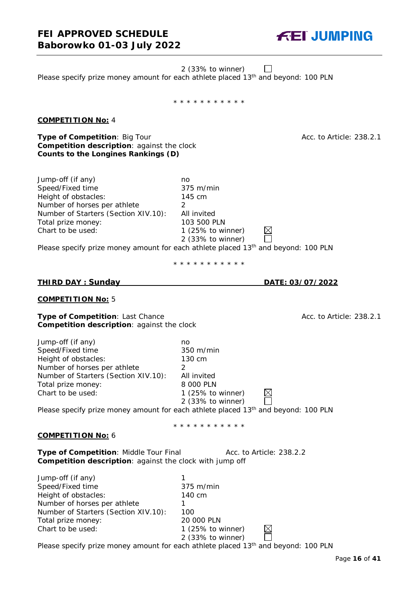2 (33% to winner)  $\perp$ 

Please specify prize money amount for each athlete placed 13<sup>th</sup> and beyond: 100 PLN

\* \* \* \* \* \* \* \* \* \* \*

# **COMPETITION No:** 4

**Type of Competition:** Big Tour Acc. to Article: 238.2.1 **Competition description**: against the clock **Counts to the Longines Rankings (D)**

Jump-off (if any) no Speed/Fixed time 375 m/min Height of obstacles: 145 cm Number of horses per athlete 2 Number of Starters (Section XIV.10): All invited Total prize money: 103 500 PLN<br>Chart to be used: 1 (25% to wi

Please specify prize money amount for each athlete placed 13<sup>th</sup> and beyond: 100 PLN

\* \* \* \* \* \* \* \* \* \* \*

 $1$  (25% to winner) 2 (33% to winner)

#### **COMPETITION No:** 5

**Type of Competition**: Last Chance **Acc. is a computed as Acc. to Article: 238.2.1** Acc. to Article: 238.2.1 **Competition description**: against the clock

| Jump-off (if any)                    | no                           |  |
|--------------------------------------|------------------------------|--|
| Speed/Fixed time                     | $350 \text{ m/min}$          |  |
| Height of obstacles:                 | 130 cm                       |  |
| Number of horses per athlete         |                              |  |
| Number of Starters (Section XIV.10): | All invited                  |  |
| Total prize money:                   | 8 000 PLN                    |  |
| Chart to be used:                    | 1 $(25\% \text{ to winner})$ |  |
|                                      | 2 (33% to winner)            |  |

Please specify prize money amount for each athlete placed 13<sup>th</sup> and beyond: 100 PLN

\* \* \* \* \* \* \* \* \* \* \*

#### **COMPETITION No:** 6

**Type of Competition: Middle Tour Final Acc. to Article: 238.2.2 Competition description**: against the clock with jump off

| Jump-off (if any)                    |                     |  |
|--------------------------------------|---------------------|--|
| Speed/Fixed time                     | $375 \text{ m/min}$ |  |
| Height of obstacles:                 | 140 cm              |  |
| Number of horses per athlete         |                     |  |
| Number of Starters (Section XIV.10): | 100                 |  |
| Total prize money:                   | 20 000 PLN          |  |
| Chart to be used:                    | 1 (25% to winner)   |  |
|                                      | 2 (33% to winner)   |  |

Please specify prize money amount for each athlete placed 13<sup>th</sup> and beyond: 100 PLN

**THIRD DAY : Sunday DATE: 03/07/2022**

 $\boxtimes$ 

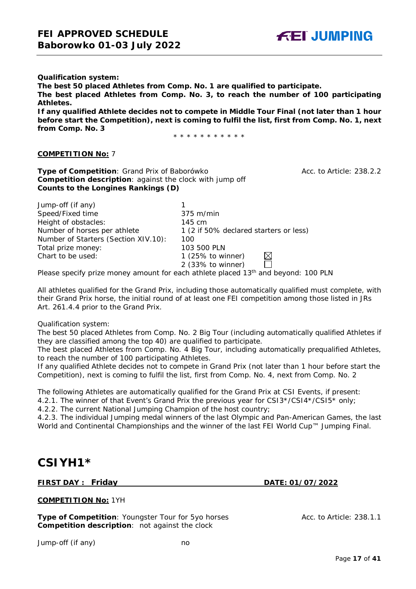

**Qualification system: The best 50 placed Athletes from Comp. No. 1 are qualified to participate. The best placed Athletes from Comp. No. 3, to reach the number of 100 participating Athletes. If any qualified Athlete decides not to compete in Middle Tour Final (not later than 1 hour** 

**before start the Competition), next is coming to fulfil the list, first from Comp. No. 1, next from Comp. No. 3**

\* \* \* \* \* \* \* \* \* \* \*

#### **COMPETITION No:** 7

**Type of Competition**: Grand Prix of Baborówko Acc. to Article: 238.2.2 **Competition description**: against the clock with jump off **Counts to the Longines Rankings (D)**

| Jump-off (if any)                    |                                        |
|--------------------------------------|----------------------------------------|
| Speed/Fixed time                     | $375 \text{ m/min}$                    |
| Height of obstacles:                 | 145 cm                                 |
| Number of horses per athlete         | 1 (2 if 50% declared starters or less) |
| Number of Starters (Section XIV.10): | 100                                    |
| Total prize money:                   | 103 500 PLN                            |
| Chart to be used:                    | 1 $(25\% \text{ to winner})$           |
|                                      | 2 (33% to winner)                      |

Please specify prize money amount for each athlete placed 13<sup>th</sup> and beyond: 100 PLN

All athletes qualified for the Grand Prix, including those automatically qualified must complete, with their Grand Prix horse, the initial round of at least one FEI competition among those listed in JRs Art. 261.4.4 prior to the Grand Prix.

#### Qualification system:

The best 50 placed Athletes from Comp. No. 2 Big Tour (including automatically qualified Athletes if they are classified among the top 40) are qualified to participate.

The best placed Athletes from Comp. No. 4 Big Tour, including automatically prequalified Athletes, to reach the number of 100 participating Athletes.

If any qualified Athlete decides not to compete in Grand Prix (not later than 1 hour before start the Competition), next is coming to fulfil the list, first from Comp. No. 4, next from Comp. No. 2

The following Athletes are automatically qualified for the Grand Prix at CSI Events, if present:

4.2.1. The winner of that Event's Grand Prix the previous year for CSI3\*/CSI4\*/CSI5\* only;

4.2.2. The current National Jumping Champion of the host country;

4.2.3. The individual Jumping medal winners of the last Olympic and Pan-American Games, the last World and Continental Championships and the winner of the last FEI World Cup™ Jumping Final.

# **CSIYH1\***

# **FIRST DAY : Friday DATE: 01/07/2022**

**COMPETITION No:** 1YH

**Type of Competition**: Youngster Tour for 5yo horses Acc. to Article: 238.1.1 **Competition description**: not against the clock

Jump-off (if any) no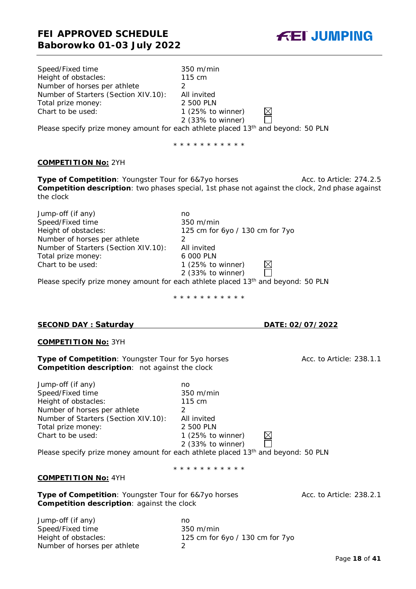| Speed/Fixed time                     | $350 \text{ m/min}$                                                               |
|--------------------------------------|-----------------------------------------------------------------------------------|
| Height of obstacles:                 | 115 cm                                                                            |
| Number of horses per athlete         |                                                                                   |
| Number of Starters (Section XIV.10): | All invited                                                                       |
| Total prize money:                   | 2 500 PLN                                                                         |
| Chart to be used:                    | 1 $(25\%$ to winner)                                                              |
|                                      | 2 (33% to winner)                                                                 |
|                                      | Please specify prize money amount for each athlete placed 13th and beyond: 50 PLN |

\* \* \* \* \* \* \* \* \* \* \*

#### **COMPETITION No:** 2YH

**Type of Competition:** Youngster Tour for 6&7yo horses Acc. to Article: 274.2.5 **Competition description**: two phases special, 1st phase not against the clock, 2nd phase against the clock

Jump-off (if any) no Speed/Fixed time 350 m/min<br>Height of obstacles: 125 cm for 125 cm for 6yo / 130 cm for 7yo Number of horses per athlete 2 Number of Starters (Section XIV.10): All invited<br>Total prize money: 6 000 PLN Total prize money:<br>Chart to be used: 1 (25% to winner) 2 (33% to winner)

Please specify prize money amount for each athlete placed 13<sup>th</sup> and beyond: 50 PLN

\* \* \* \* \* \* \* \* \* \* \*

#### **SECOND DAY : Saturday DATE: 02/07/2022**

#### **COMPETITION No:** 3YH

**Type of Competition**: Youngster Tour for 5yo horses Acc. to Article: 238.1.1 **Competition description**: not against the clock

Jump-off (if any) no Speed/Fixed time 350 m/min Height of obstacles: 115 cm Number of horses per athlete 2 Number of Starters (Section XIV.10): All invited Total prize money: 2 500 PLN Chart to be used: 1 (25% to winner)

2 (33% to winner)

Please specify prize money amount for each athlete placed 13<sup>th</sup> and beyond: 50 PLN

\* \* \* \* \* \* \* \* \* \* \*

### **COMPETITION No:** 4YH

**Type of Competition:** Youngster Tour for 6&7yo horses Acc. to Article: 238.2.1 **Competition description**: against the clock

Jump-off (if any)<br>
Speed/Fixed time<br>
350 m/min Speed/Fixed time Height of obstacles: 125 cm for 6yo / 130 cm for 7yo Number of horses per athlete 2

**FEI JUMPING**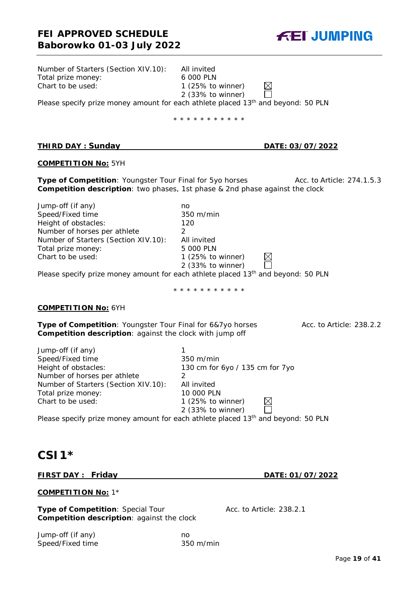

| Number of Starters (Section XIV.10):<br>Total prize money:<br>Chart to be used: | All invited<br>6 000 PLN<br>1 $(25\% \text{ to winner})$<br>$\times$                                               |
|---------------------------------------------------------------------------------|--------------------------------------------------------------------------------------------------------------------|
|                                                                                 | $2$ (33% to winner)                                                                                                |
|                                                                                 | Please specify prize money amount for each athlete placed 13 <sup>th</sup> and beyond: 50 PLN                      |
|                                                                                 | * * * * * * * * * * *                                                                                              |
|                                                                                 |                                                                                                                    |
| <b>THIRD DAY: Sunday</b>                                                        | DATE: 03/07/2022                                                                                                   |
| <b>COMPETITION No: 5YH</b>                                                      |                                                                                                                    |
| Type of Competition: Youngster Tour Final for 5yo horses                        | Acc. to Article: 274.1.5.3<br><b>Competition description</b> : two phases, 1st phase & 2nd phase against the clock |
| Jump-off (if any)                                                               | no                                                                                                                 |
| Speed/Fixed time                                                                | 350 m/min                                                                                                          |
| Height of obstacles:                                                            | 120                                                                                                                |
| Number of horses per athlete                                                    | $\overline{2}$                                                                                                     |
| Number of Starters (Section XIV.10):                                            | All invited                                                                                                        |
| Total prize money:                                                              | 5 000 PLN                                                                                                          |
| Chart to be used:                                                               | 1 (25% to winner)<br>2 (33% to winner)                                                                             |
|                                                                                 | Please specify prize money amount for each athlete placed 13 <sup>th</sup> and beyond: 50 PLN                      |
|                                                                                 | * * * * * * * * * * *                                                                                              |
| <b>COMPETITION No: 6YH</b>                                                      |                                                                                                                    |
| Type of Competition: Youngster Tour Final for 6&7yo horses                      | Acc. to Article: 238.2.2                                                                                           |
| <b>Competition description: against the clock with jump off</b>                 |                                                                                                                    |

| Jump-off (if any)                    |                                 |
|--------------------------------------|---------------------------------|
| Speed/Fixed time                     | 350 m/min                       |
| Height of obstacles:                 | 130 cm for 6yo / 135 cm for 7yo |
| Number of horses per athlete         |                                 |
| Number of Starters (Section XIV.10): | All invited                     |
| Total prize money:                   | 10 000 PLN                      |
| Chart to be used:                    | 1 $(25\%$ to winner)            |
|                                      | 2 (33% to winner)               |

Please specify prize money amount for each athlete placed 13<sup>th</sup> and beyond: 50 PLN

# **CSI1\***

# **FIRST DAY : Friday DATE: 01/07/2022**

#### **COMPETITION No:** 1\*

**Type of Competition:** Special Tour **Acc. to Article: 238.2.1 Competition description**: against the clock

Jump-off (if any) no Speed/Fixed time 350 m/min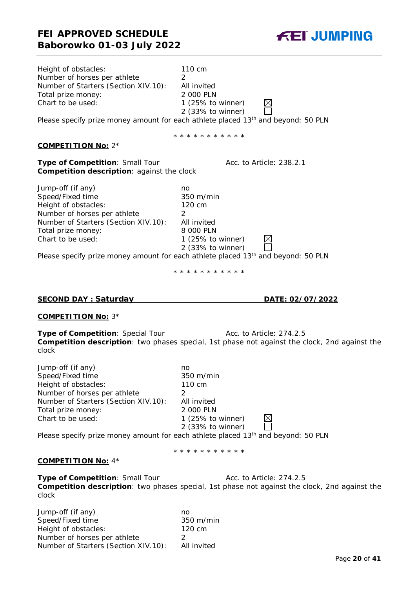| Height of obstacles:<br>Number of horses per athlete<br>Number of Starters (Section XIV.10):<br>Total prize money:<br>Chart to be used:                                          | 110 cm<br>2<br>All invited<br>2 000 PLN<br>$\boxtimes$<br>1 (25% to winner)<br>2 (33% to winner)<br>Please specify prize money amount for each athlete placed 13 <sup>th</sup> and beyond: 50 PLN                                                                |
|----------------------------------------------------------------------------------------------------------------------------------------------------------------------------------|------------------------------------------------------------------------------------------------------------------------------------------------------------------------------------------------------------------------------------------------------------------|
|                                                                                                                                                                                  | * * * * * * * * * * *                                                                                                                                                                                                                                            |
| <b>COMPETITION No: 2*</b>                                                                                                                                                        |                                                                                                                                                                                                                                                                  |
| Type of Competition: Small Tour<br>Competition description: against the clock                                                                                                    | Acc. to Article: 238.2.1                                                                                                                                                                                                                                         |
| Jump-off (if any)<br>Speed/Fixed time<br>Height of obstacles:<br>Number of horses per athlete<br>Number of Starters (Section XIV.10):<br>Total prize money:<br>Chart to be used: | no<br>$350 \text{ m/min}$<br>120 cm<br>$\overline{2}$<br>All invited<br>8 000 PLN<br>1 $(25\% \text{ to winner})$<br>2 (33% to winner)<br>Please specify prize money amount for each athlete placed 13 <sup>th</sup> and beyond: 50 PLN<br>* * * * * * * * * * * |
| <b>SECOND DAY: Saturday</b>                                                                                                                                                      | DATE: 02/07/2022                                                                                                                                                                                                                                                 |
| <b>COMPETITION No: 3*</b>                                                                                                                                                        |                                                                                                                                                                                                                                                                  |
| Type of Competition: Special Tour<br>clock                                                                                                                                       | Acc. to Article: 274.2.5<br>Competition description: two phases special, 1st phase not against the clock, 2nd against the                                                                                                                                        |
|                                                                                                                                                                                  |                                                                                                                                                                                                                                                                  |

Jump-off (if any) no Speed/Fixed time 350 m/min Height of obstacles: 110 cm Number of horses per athlete 2<br>Number of Starters (Section XIV.10): All invited Number of Starters (Section XIV.10): All invited<br>Total prize money: 2000 PLN Total prize money: Chart to be used: 1 (25% to winner)  $\boxtimes$  $\Box$ 2 (33% to winner)

Please specify prize money amount for each athlete placed 13<sup>th</sup> and beyond: 50 PLN

# **COMPETITION No:** 4\*

**Type of Competition:** Small Tour **Acc. to Article: 274.2.5 Competition description**: two phases special, 1st phase not against the clock, 2nd against the clock

| Jump-off (if any)                    | no                      |
|--------------------------------------|-------------------------|
| Speed/Fixed time                     | $350 \; \mathrm{m/min}$ |
| Height of obstacles:                 | 120 cm                  |
| Number of horses per athlete         | <u>່</u>                |
| Number of Starters (Section XIV.10): | All invited             |

**FEI JUMPING** 

# \* \* \* \* \* \* \* \* \* \* \*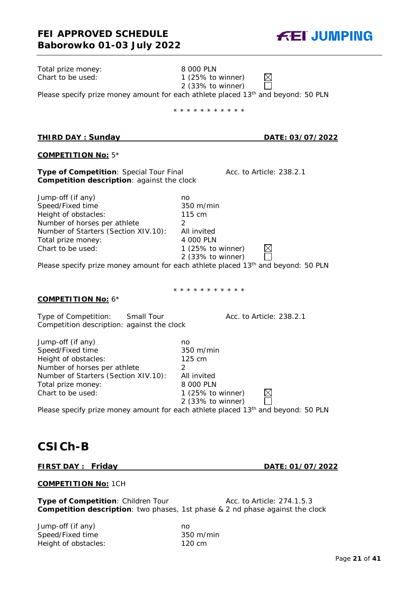

| Total prize money:                                                                    | 8 000 PLN                                                                                                          |
|---------------------------------------------------------------------------------------|--------------------------------------------------------------------------------------------------------------------|
| Chart to be used:                                                                     | 1 $(25\% \text{ to winner})$                                                                                       |
|                                                                                       | 2 (33% to winner)                                                                                                  |
|                                                                                       | Please specify prize money amount for each athlete placed 13 <sup>th</sup> and beyond: 50 PLN                      |
|                                                                                       | * * * * * * * * * * *                                                                                              |
|                                                                                       |                                                                                                                    |
| <b>THIRD DAY: Sunday</b>                                                              | <u>DATE: 03/07/2022</u>                                                                                            |
| <b>COMPETITION No: 5*</b>                                                             |                                                                                                                    |
|                                                                                       |                                                                                                                    |
| Type of Competition: Special Tour Final<br>Competition description: against the clock | Acc. to Article: 238.2.1                                                                                           |
|                                                                                       |                                                                                                                    |
| Jump-off (if any)                                                                     | no                                                                                                                 |
| Speed/Fixed time                                                                      | 350 m/min                                                                                                          |
| Height of obstacles:                                                                  | 115 cm                                                                                                             |
| Number of horses per athlete                                                          | 2                                                                                                                  |
| Number of Starters (Section XIV.10):                                                  | All invited                                                                                                        |
| Total prize money:                                                                    | 4 000 PLN                                                                                                          |
| Chart to be used:                                                                     | 1 $(25\% \text{ to winner})$                                                                                       |
|                                                                                       | 2 (33% to winner)<br>Please specify prize money amount for each athlete placed 13 <sup>th</sup> and beyond: 50 PLN |
|                                                                                       |                                                                                                                    |
|                                                                                       |                                                                                                                    |
|                                                                                       | * * * * * * * * * * *                                                                                              |
| <b>COMPETITION No: 6*</b>                                                             |                                                                                                                    |
| Small Tour<br>Type of Competition:                                                    | Acc. to Article: 238.2.1                                                                                           |
| Competition description: against the clock                                            |                                                                                                                    |
|                                                                                       |                                                                                                                    |
| Jump-off (if any)                                                                     | no                                                                                                                 |
| Speed/Fixed time                                                                      | 350 m/min                                                                                                          |
| Height of obstacles:                                                                  | 125 cm                                                                                                             |
| Number of horses per athlete                                                          | 2                                                                                                                  |
| Number of Starters (Section XIV.10):                                                  | All invited                                                                                                        |
| Total prize money:                                                                    | 8 000 PLN                                                                                                          |
| Chart to be used:                                                                     | 1 (25% to winner)<br>2 (33% to winner)                                                                             |
|                                                                                       | Please specify prize money amount for each athlete placed 13 <sup>th</sup> and beyond: 50 PLN                      |
|                                                                                       |                                                                                                                    |
|                                                                                       |                                                                                                                    |
|                                                                                       |                                                                                                                    |
| <b>CSICH-B</b>                                                                        |                                                                                                                    |

#### **FIRST DAY : Friday DATE: 01/07/2022**

#### **COMPETITION No:** 1CH

**Type of Competition:** Children Tour Acc. to Article: 274.1.5.3 **Competition description**: two phases, 1st phase & 2 nd phase against the clock

Jump-off (if any) no Speed/Fixed time 350 m/min Height of obstacles: 120 cm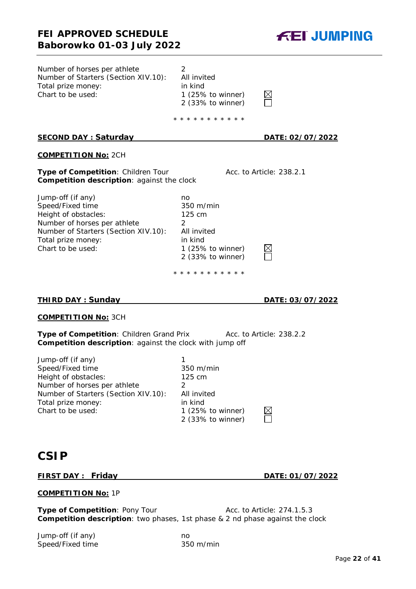**FEI JUMPING** 

| Number of horses per athlete<br>Number of Starters (Section XIV.10):<br>Total prize money:<br>Chart to be used:                                                                  | 2<br>All invited<br>in kind<br>1 (25% to winner)<br>2 (33% to winner)<br>* * * * * * * * * * *                           |                          |
|----------------------------------------------------------------------------------------------------------------------------------------------------------------------------------|--------------------------------------------------------------------------------------------------------------------------|--------------------------|
| <u>SECOND DAY: Saturday</u>                                                                                                                                                      |                                                                                                                          | <u>DATE: 02/07/2022</u>  |
| <b>COMPETITION No: 2CH</b>                                                                                                                                                       |                                                                                                                          |                          |
| Type of Competition: Children Tour<br><b>Competition description: against the clock</b>                                                                                          |                                                                                                                          | Acc. to Article: 238.2.1 |
| Jump-off (if any)<br>Speed/Fixed time<br>Height of obstacles:<br>Number of horses per athlete<br>Number of Starters (Section XIV.10):<br>Total prize money:<br>Chart to be used: | no<br>$350 \text{ m/min}$<br>125 cm<br>$\mathcal{P}$<br>All invited<br>in kind<br>1 (25% to winner)<br>2 (33% to winner) |                          |

\* \* \* \* \* \* \* \* \* \* \*

# **THIRD DAY : Sunday DATE: 03/07/2022**

#### **COMPETITION No:** 3CH

**Type of Competition: Children Grand Prix Acc. to Article: 238.2.2 Competition description**: against the clock with jump off

Jump-off (if any) 1 Speed/Fixed time 350 m/min Height of obstacles: 125 cm Number of horses per athlete 2 Number of Starters (Section XIV.10): All invited Total prize money:<br>
Chart to be used:<br>
1 (25%)

 $1$  (25% to winner)  $\boxtimes$ 2 (33% to winner)

# **CSIP**

# **FIRST DAY : Friday DATE: 01/07/2022**

#### **COMPETITION No:** 1P

**Type of Competition: Pony Tour Acc. to Article: 274.1.5.3 Competition description**: two phases, 1st phase & 2 nd phase against the clock

Jump-off (if any) no Speed/Fixed time 350 m/min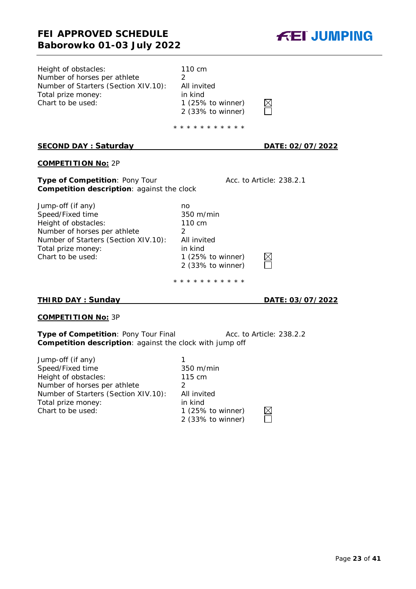

| 110 cm<br>2<br>All invited<br>in kind<br>1 $(25\% \text{ to winner})$<br>2 (33% to winner)                                                                   |                          |
|--------------------------------------------------------------------------------------------------------------------------------------------------------------|--------------------------|
| * * * * * * * * * * *                                                                                                                                        |                          |
|                                                                                                                                                              | <u>DATE: 02/07/2022</u>  |
|                                                                                                                                                              |                          |
| Competition description: against the clock                                                                                                                   | Acc. to Article: 238.2.1 |
| no<br>$350 \text{ m/min}$<br>110 cm<br>$\mathcal{P}$<br>All invited<br>in kind<br>1 $(25\% \text{ to winner})$<br>2 (33% to winner)<br>* * * * * * * * * * * |                          |
|                                                                                                                                                              |                          |

# **THIRD DAY : Sunday DATE: 03/07/2022**

# **COMPETITION No:** 3P

**Type of Competition**: Pony Tour Final Acc. to Article: 238.2.2 **Competition description**: against the clock with jump off

| $350 \text{ m/min}$ |
|---------------------|
| 115 cm              |
|                     |
| All invited         |
| in kind             |
| 1 (25% to winner)   |
| 2 (33% to winner)   |
|                     |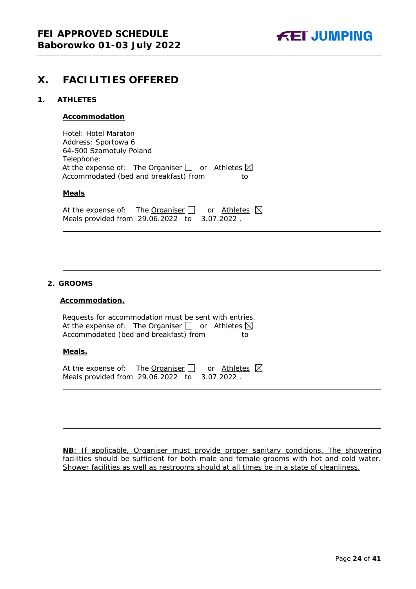

# <span id="page-23-0"></span>**X. FACILITIES OFFERED**

### <span id="page-23-1"></span>**1. ATHLETES**

#### **Accommodation**

Hotel: Hotel Maraton Address: Sportowa 6 64-500 Szamotuły Poland Telephone: At the expense of: The Organiser  $\Box$  or Athletes  $\boxtimes$ Accommodated (bed and breakfast) from to

#### **Meals**

At the expense of: The Organiser  $\Box$  or Athletes  $\boxtimes$ Meals provided from 29.06.2022 to 3.07.2022 .

#### <span id="page-23-2"></span>**2. GROOMS**

#### **Accommodation.**

Requests for accommodation must be sent with entries. At the expense of: The Organiser  $\Box$  or Athletes  $\boxtimes$ Accommodated (bed and breakfast) from to

#### **Meals.**

At the expense of: The Organiser  $\Box$  or Athletes  $\boxtimes$ Meals provided from 29.06.2022 to 3.07.2022 .

**NB**: If applicable, Organiser must provide proper sanitary conditions. The showering facilities should be sufficient for both male and female grooms with hot and cold water. Shower facilities as well as restrooms should at all times be in a state of cleanliness.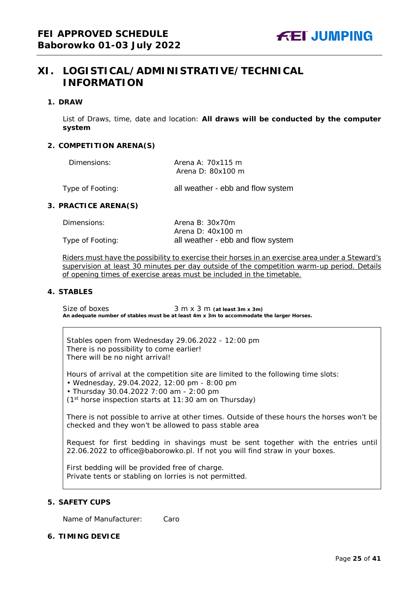# <span id="page-24-0"></span>**XI. LOGISTICAL/ADMINISTRATIVE/TECHNICAL INFORMATION**

#### <span id="page-24-1"></span>**1. DRAW**

List of Draws, time, date and location: **All draws will be conducted by the computer system**

#### <span id="page-24-2"></span>**2. COMPETITION ARENA(S)**

| Dimensions:      | Arena A: 70x115 m                 |
|------------------|-----------------------------------|
|                  | Arena D: $80x100$ m               |
| Type of Footing: | all weather - ebb and flow system |

#### <span id="page-24-3"></span>**3. PRACTICE ARENA(S)**

| Dimensions:      | Arena B: $30x70m$                 |
|------------------|-----------------------------------|
|                  | Arena D: 40x100 m                 |
| Type of Footing: | all weather - ebb and flow system |

Riders must have the possibility to exercise their horses in an exercise area under a Steward's supervision at least 30 minutes per day outside of the competition warm-up period. Details of opening times of exercise areas must be included in the timetable.

#### <span id="page-24-4"></span>**4. STABLES**

Size of boxes 3 m x 3 m (at least 3m x 3m) **An adequate number of stables must be at least 4m x 3m to accommodate the larger Horses.**

Stables open from Wednesday 29.06.2022 - 12:00 pm There is no possibility to come earlier! There will be no night arrival!

Hours of arrival at the competition site are limited to the following time slots:

• Wednesday, 29.04.2022, 12:00 pm - 8:00 pm

• Thursday 30.04.2022 7:00 am - 2:00 pm

(1st horse inspection starts at 11:30 am on Thursday)

There is not possible to arrive at other times. Outside of these hours the horses won't be checked and they won't be allowed to pass stable area

Request for first bedding in shavings must be sent together with the entries until 22.06.2022 to office@baborowko.pl. If not you will find straw in your boxes.

First bedding will be provided free of charge. Private tents or stabling on lorries is not permitted.

# <span id="page-24-5"></span>**5. SAFETY CUPS**

Name of Manufacturer: Caro

#### <span id="page-24-6"></span>**6. TIMING DEVICE**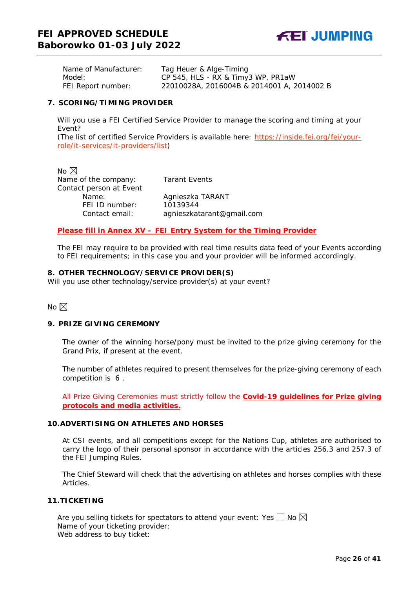Name of Manufacturer: Tag Heuer & Alge-Timing Model: CP 545, HLS - RX & Timy3 WP, PR1aW FEI Report number: 22010028A, 2016004B & 2014001 A, 2014002 B

#### <span id="page-25-0"></span>**7. SCORING/TIMING PROVIDER**

Will you use a FEI Certified Service Provider to manage the scoring and timing at your Event?

*(The list of certified Service Providers is available here:* [https://inside.fei.org/fei/your](https://inside.fei.org/fei/your-role/it-services/it-providers/list)[role/it-services/it-providers/list](https://inside.fei.org/fei/your-role/it-services/it-providers/list)*)*

No  $\boxtimes$ Name of the company: Tarant Events Contact person at Event<br>Name: FEI ID number:

Agnieszka TARANT<br>10139344 Contact email: agnieszkatarant@gmail.com

*Please fill in Annex XV – FEI Entry System for the Timing Provider*

The FEI may require to be provided with real time results data feed of your Events according to FEI requirements; in this case you and your provider will be informed accordingly.

#### <span id="page-25-1"></span>**8. OTHER TECHNOLOGY/SERVICE PROVIDER(S)**

Will you use other technology/service provider(s) at your event?

No  $\boxtimes$ 

#### <span id="page-25-2"></span>**9. PRIZE GIVING CEREMONY**

The owner of the winning horse/pony must be invited to the prize giving ceremony for the Grand Prix, if present at the event.

The number of athletes required to present themselves for the prize-giving ceremony of each competition is 6 .

All Prize Giving Ceremonies must strictly follow the **Covid-19 guidelines for Prize giving protocols and media activities.**

#### <span id="page-25-3"></span>**10.ADVERTISING ON ATHLETES AND HORSES**

At CSI events, and all competitions except for the Nations Cup, athletes are authorised to carry the logo of their personal sponsor in accordance with the articles 256.3 and 257.3 of the FEI Jumping Rules.

The Chief Steward will check that the advertising on athletes and horses complies with these Articles.

#### <span id="page-25-4"></span>**11.TICKETING**

Are you selling tickets for spectators to attend your event: Yes  $\Box$  No  $\boxtimes$ Name of your ticketing provider: Web address to buy ticket: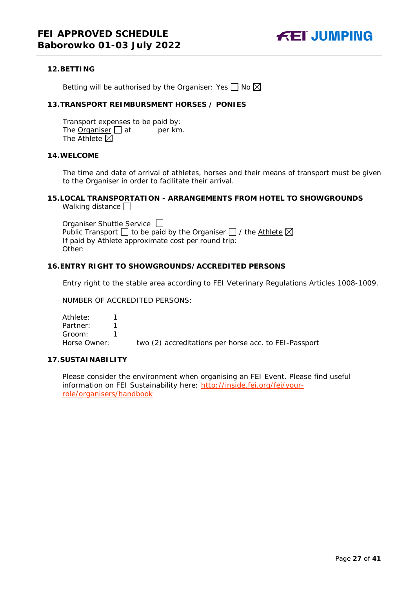

#### <span id="page-26-0"></span>**12.BETTING**

Betting will be authorised by the Organiser: Yes  $\Box$  No  $\boxtimes$ 

# <span id="page-26-1"></span>**13.TRANSPORT REIMBURSMENT HORSES / PONIES**

Transport expenses to be paid by: The **Organiser**  $\Box$  at per km. The Athlete  $\boxtimes$ 

#### <span id="page-26-2"></span>**14.WELCOME**

The time and date of arrival of athletes, horses and their means of transport must be given to the Organiser in order to facilitate their arrival.

# <span id="page-26-3"></span>**15.LOCAL TRANSPORTATION - ARRANGEMENTS FROM HOTEL TO SHOWGROUNDS**

Walking distance  $\square$ 

Organiser Shuttle Service  $\Box$ Public Transport  $\Box$  to be paid by the Organiser  $\Box$  / the Athlete  $\boxtimes$ If paid by Athlete approximate cost per round trip: Other:

# <span id="page-26-4"></span>**16.ENTRY RIGHT TO SHOWGROUNDS/ACCREDITED PERSONS**

Entry right to the stable area according to FEI Veterinary Regulations Articles 1008-1009.

NUMBER OF ACCREDITED PERSONS:

Athlete: 1 Partner: 1 Groom: 1<br>Horse Owner: two (2) accreditations per horse acc. to FEI-Passport

# <span id="page-26-5"></span>**17.SUSTAINABILITY**

Please consider the environment when organising an FEI Event. Please find useful information on FEI Sustainability here: [http://inside.fei.org/fei/your](http://inside.fei.org/fei/your-role/organisers/handbook)[role/organisers/handbook](http://inside.fei.org/fei/your-role/organisers/handbook)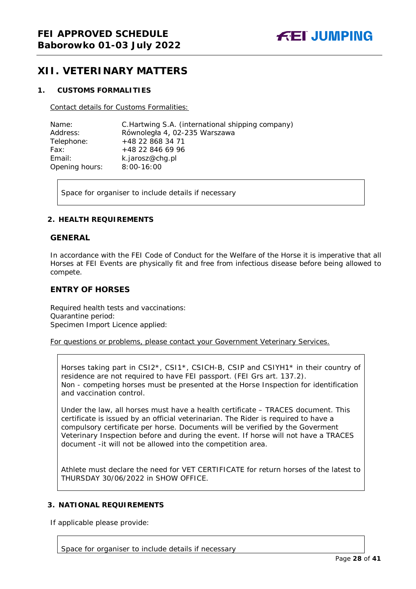# <span id="page-27-0"></span>**XII. VETERINARY MATTERS**

### <span id="page-27-1"></span>**1. CUSTOMS FORMALITIES**

Contact details for Customs Formalities:

| Name:          | C. Hartwing S.A. (international shipping company) |
|----------------|---------------------------------------------------|
| Address:       | Równoległa 4, 02-235 Warszawa                     |
| Telephone:     | +48 22 868 34 71                                  |
| Fax:           | +48 22 846 69 96                                  |
| Email:         | k.jarosz@chg.pl                                   |
| Opening hours: | $8:00-16:00$                                      |

Space for organiser to include details if necessary

#### <span id="page-27-2"></span>**2. HEALTH REQUIREMENTS**

#### **GENERAL**

In accordance with the FEI Code of Conduct for the Welfare of the Horse it is imperative that all Horses at FEI Events are physically fit and free from infectious disease before being allowed to compete.

# **ENTRY OF HORSES**

Required health tests and vaccinations: Quarantine period: Specimen Import Licence applied:

For questions or problems, please contact your Government Veterinary Services.

Horses taking part in CSI2\*, CSI1\*, CSICH-B, CSIP and CSIYH1\* in their country of residence are not required to have FEI passport. (FEI Grs art. 137.2). Non - competing horses must be presented at the Horse Inspection for identification and vaccination control.

Under the law, all horses must have a health certificate – TRACES document. This certificate is issued by an official veterinarian. The Rider is required to have a compulsory certificate per horse. Documents will be verified by the Goverment Veterinary Inspection before and during the event. If horse will not have a TRACES document -it will not be allowed into the competition area.

Athlete must declare the need for VET CERTIFICATE for return horses of the latest to THURSDAY 30/06/2022 in SHOW OFFICE.

# <span id="page-27-3"></span>**3. NATIONAL REQUIREMENTS**

If applicable please provide:

Space for organiser to include details if necessary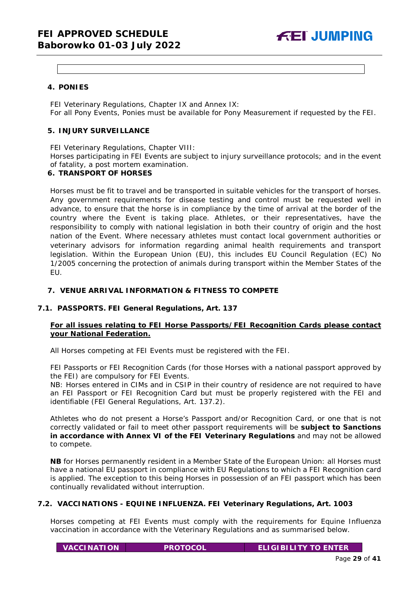# <span id="page-28-0"></span>**4. PONIES**

FEI Veterinary Regulations, Chapter IX and Annex IX: For all Pony Events, Ponies must be available for Pony Measurement if requested by the FEI.

# <span id="page-28-1"></span>**5. INJURY SURVEILLANCE**

FEI Veterinary Regulations, Chapter VIII:

Horses participating in FEI Events are subject to injury surveillance protocols; and in the event of fatality, a post mortem examination.

## <span id="page-28-2"></span>**6. TRANSPORT OF HORSES**

Horses must be fit to travel and be transported in suitable vehicles for the transport of horses. Any government requirements for disease testing and control must be requested well in advance, to ensure that the horse is in compliance by the time of arrival at the border of the country where the Event is taking place. Athletes, or their representatives, have the responsibility to comply with national legislation in both their country of origin and the host nation of the Event. Where necessary athletes must contact local government authorities or veterinary advisors for information regarding animal health requirements and transport legislation. Within the European Union (EU), this includes EU Council Regulation (EC) No 1/2005 concerning the protection of animals during transport within the Member States of the EU.

### <span id="page-28-3"></span>**7. VENUE ARRIVAL INFORMATION & FITNESS TO COMPETE**

# **7.1. PASSPORTS. FEI General Regulations, Art. 137**

# **For all issues relating to FEI Horse Passports/FEI Recognition Cards please contact your National Federation.**

All Horses competing at FEI Events must be registered with the FEI.

FEI Passports or FEI Recognition Cards (for those Horses with a national passport approved by the FEI) are compulsory for FEI Events.

NB: Horses entered in CIMs and in CSIP in their country of residence are not required to have an FEI Passport or FEI Recognition Card but must be properly registered with the FEI and identifiable (FEI General Regulations, Art. 137.2).

Athletes who do not present a Horse's Passport and/or Recognition Card, or one that is not correctly validated or fail to meet other passport requirements will be **subject to Sanctions in accordance with Annex VI of the FEI Veterinary Regulations** and may not be allowed to compete.

**NB** for Horses permanently resident in a Member State of the European Union: all Horses must have a national EU passport in compliance with EU Regulations to which a FEI Recognition card is applied. The exception to this being Horses in possession of an FEI passport which has been continually revalidated without interruption.

# **7.2. VACCINATIONS - EQUINE INFLUENZA. FEI Veterinary Regulations, Art. 1003**

Horses competing at FEI Events must comply with the requirements for Equine Influenza vaccination in accordance with the Veterinary Regulations and as summarised below.

**VACCINATION PROTOCOL ELIGIBILITY TO ENTER**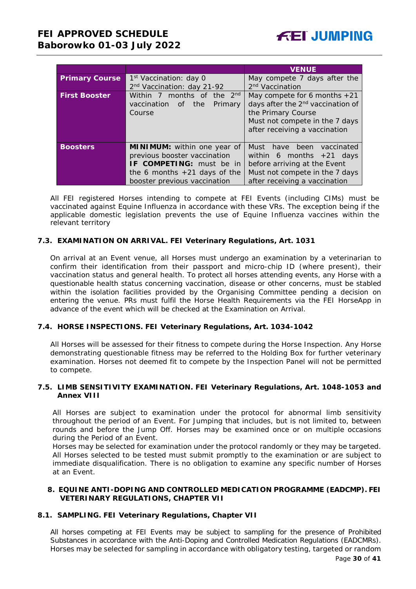|                       |                                                                       | <b>VENUE</b>                                  |  |  |
|-----------------------|-----------------------------------------------------------------------|-----------------------------------------------|--|--|
| <b>Primary Course</b> | 1 <sup>st</sup> Vaccination: day 0                                    | May compete 7 days after the                  |  |  |
|                       | 2 <sup>nd</sup> Vaccination<br>2 <sup>nd</sup> Vaccination: day 21-92 |                                               |  |  |
| <b>First Booster</b>  | Within 7 months of the 2 <sup>nd</sup>                                | May compete for 6 months $+21$                |  |  |
|                       | vaccination of the<br>Primary                                         | days after the 2 <sup>nd</sup> vaccination of |  |  |
|                       | Course                                                                | the Primary Course                            |  |  |
|                       |                                                                       | Must not compete in the 7 days                |  |  |
|                       |                                                                       | after receiving a vaccination                 |  |  |
|                       |                                                                       |                                               |  |  |
| <b>Boosters</b>       | <b>MINIMUM:</b> within one year of                                    | Must have been vaccinated                     |  |  |
|                       | previous booster vaccination                                          | within 6 months $+21$ days                    |  |  |
|                       | IF COMPETING: must be in                                              | before arriving at the Event                  |  |  |
|                       | the 6 months $+21$ days of the                                        | Must not compete in the 7 days                |  |  |
|                       | booster previous vaccination                                          | after receiving a vaccination                 |  |  |

All FEI registered Horses intending to compete at FEI Events (including CIMs) must be vaccinated against Equine Influenza in accordance with these VRs. The exception being if the applicable domestic legislation prevents the use of Equine Influenza vaccines within the relevant territory

# **7.3. EXAMINATION ON ARRIVAL. FEI Veterinary Regulations, Art. 1031**

On arrival at an Event venue, all Horses must undergo an examination by a veterinarian to confirm their identification from their passport and micro-chip ID (where present), their vaccination status and general health. To protect all horses attending events, any Horse with a questionable health status concerning vaccination, disease or other concerns, must be stabled within the isolation facilities provided by the Organising Committee pending a decision on entering the venue. PRs must fulfil the Horse Health Requirements via the FEI HorseApp in advance of the event which will be checked at the Examination on Arrival.

# **7.4. HORSE INSPECTIONS. FEI Veterinary Regulations, Art. 1034-1042**

All Horses will be assessed for their fitness to compete during the Horse Inspection. Any Horse demonstrating questionable fitness may be referred to the Holding Box for further veterinary examination. Horses not deemed fit to compete by the Inspection Panel will not be permitted to compete.

### **7.5. LIMB SENSITIVITY EXAMINATION. FEI Veterinary Regulations, Art. 1048-1053 and Annex VIII**

All Horses are subject to examination under the protocol for abnormal limb sensitivity throughout the period of an Event. For Jumping that includes, but is not limited to, between rounds and before the Jump Off. Horses may be examined once or on multiple occasions during the Period of an Event.

Horses may be selected for examination under the protocol randomly or they may be targeted. All Horses selected to be tested must submit promptly to the examination or are subject to immediate disqualification. There is no obligation to examine any specific number of Horses at an Event.

#### <span id="page-29-0"></span>**8. EQUINE ANTI-DOPING AND CONTROLLED MEDICATION PROGRAMME (EADCMP). FEI VETERINARY REGULATIONS, CHAPTER VII**

#### **8.1. SAMPLING. FEI Veterinary Regulations, Chapter VII**

All horses competing at FEI Events may be subject to sampling for the presence of Prohibited Substances in accordance with the Anti-Doping and Controlled Medication Regulations (EADCMRs). Horses may be selected for sampling in accordance with obligatory testing, targeted or random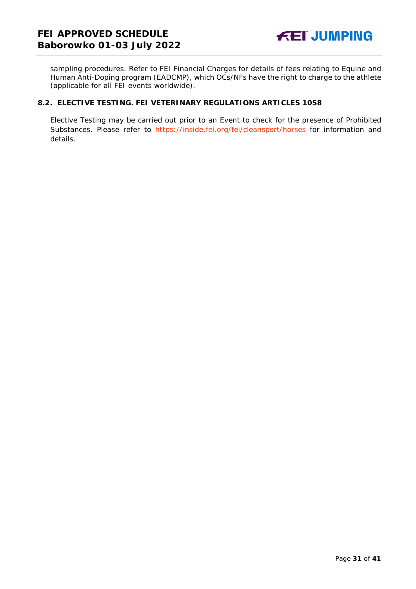sampling procedures. Refer to FEI Financial Charges for details of fees relating to Equine and Human Anti-Doping program (EADCMP), which OCs/NFs have the right to charge to the athlete (applicable for all FEI events worldwide).

# **8.2. ELECTIVE TESTING. FEI VETERINARY REGULATIONS ARTICLES 1058**

Elective Testing may be carried out prior to an Event to check for the presence of Prohibited Substances. Please refer to<https://inside.fei.org/fei/cleansport/horses> for information and details.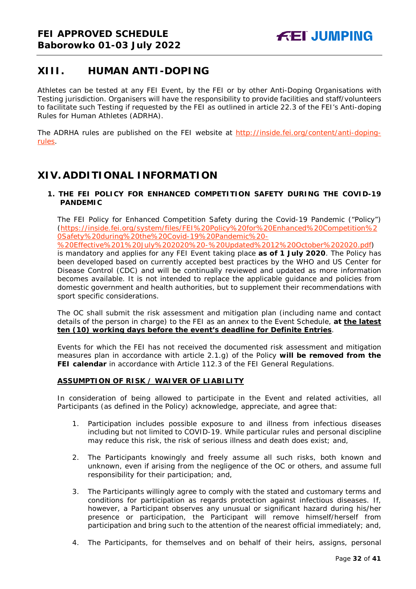# <span id="page-31-0"></span>**XIII. HUMAN ANTI-DOPING**

Athletes can be tested at any FEI Event, by the FEI or by other Anti-Doping Organisations with Testing jurisdiction. Organisers will have the responsibility to provide facilities and staff/volunteers to facilitate such Testing if requested by the FEI as outlined in article 22.3 of the FEI's Anti-doping Rules for Human Athletes (ADRHA).

The ADRHA rules are published on the FEI website at [http://inside.fei.org/content/anti-doping](http://inside.fei.org/content/anti-doping-rules)[rules.](http://inside.fei.org/content/anti-doping-rules)

# <span id="page-31-1"></span>**XIV. ADDITIONAL INFORMATION**

# <span id="page-31-2"></span>**1. THE FEI POLICY FOR ENHANCED COMPETITION SAFETY DURING THE COVID-19 PANDEMIC**

The FEI Policy for Enhanced Competition Safety during the Covid-19 Pandemic ("Policy") (https://inside.fei.org/system/files/FEI%20Policy%20for%20Enhanced%20Competition%2 0Safety%20during%20the%20Covid-19%20Pandemic%20-

%20Effective%201%20July%202020%20-%20Updated%2012%20October%202020.pdf) is mandatory and applies for any FEI Event taking place **as of 1 July 2020**. The Policy has been developed based on currently accepted best practices by the WHO and US Center for Disease Control (CDC) and will be continually reviewed and updated as more information becomes available. It is not intended to replace the applicable guidance and policies from domestic government and health authorities, but to supplement their recommendations with sport specific considerations.

The OC shall submit the risk assessment and mitigation plan (including name and contact details of the person in charge) to the FEI as an annex to the Event Schedule, **at the latest ten (10) working days before the event's deadline for Definite Entries**.

Events for which the FEI has not received the documented risk assessment and mitigation measures plan in accordance with article 2.1.g) of the Policy **will be removed from the FEI calendar** in accordance with Article 112.3 of the FEI General Regulations.

# **ASSUMPTION OF RISK / WAIVER OF LIABILITY**

In consideration of being allowed to participate in the Event and related activities, all Participants (as defined in the Policy) acknowledge, appreciate, and agree that:

- 1. Participation includes possible exposure to and illness from infectious diseases including but not limited to COVID-19. While particular rules and personal discipline may reduce this risk, the risk of serious illness and death does exist; and,
- 2. The Participants knowingly and freely assume all such risks, both known and unknown, even if arising from the negligence of the OC or others, and assume full responsibility for their participation; and,
- 3. The Participants willingly agree to comply with the stated and customary terms and conditions for participation as regards protection against infectious diseases. If, however, a Participant observes any unusual or significant hazard during his/her presence or participation, the Participant will remove himself/herself from participation and bring such to the attention of the nearest official immediately; and,
- 4. The Participants, for themselves and on behalf of their heirs, assigns, personal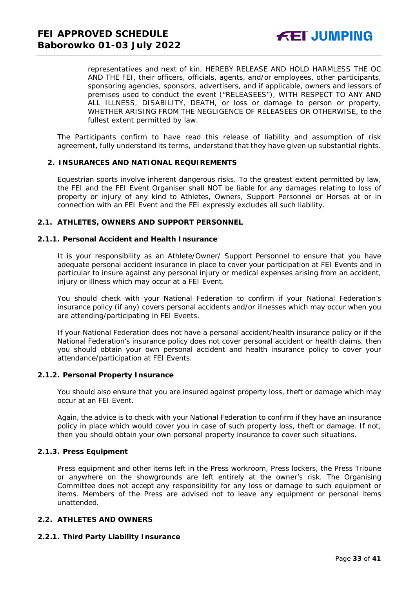representatives and next of kin, HEREBY RELEASE AND HOLD HARMLESS THE OC AND THE FEI, their officers, officials, agents, and/or employees, other participants, sponsoring agencies, sponsors, advertisers, and if applicable, owners and lessors of premises used to conduct the event ("RELEASEES"), WITH RESPECT TO ANY AND ALL ILLNESS, DISABILITY, DEATH, or loss or damage to person or property, WHETHER ARISING FROM THE NEGLIGENCE OF RELEASEES OR OTHERWISE, to the fullest extent permitted by law.

The Participants confirm to have read this release of liability and assumption of risk agreement, fully understand its terms, understand that they have given up substantial rights.

#### <span id="page-32-0"></span>**2. INSURANCES AND NATIONAL REQUIREMENTS**

Equestrian sports involve inherent dangerous risks. To the greatest extent permitted by law, the FEI and the FEI Event Organiser shall NOT be liable for any damages relating to loss of property or injury of any kind to Athletes, Owners, Support Personnel or Horses at or in connection with an FEI Event and the FEI expressly excludes all such liability.

#### **2.1. ATHLETES, OWNERS AND SUPPORT PERSONNEL**

#### **2.1.1. Personal Accident and Health Insurance**

It is your responsibility as an Athlete/Owner/ Support Personnel to ensure that you have adequate personal accident insurance in place to cover your participation at FEI Events and in particular to insure against any personal injury or medical expenses arising from an accident, injury or illness which may occur at a FEI Event.

You should check with your National Federation to confirm if your National Federation's insurance policy (if any) covers personal accidents and/or illnesses which may occur when you are attending/participating in FEI Events.

If your National Federation does not have a personal accident/health insurance policy or if the National Federation's insurance policy does not cover personal accident or health claims, then you should obtain your own personal accident and health insurance policy to cover your attendance/participation at FEI Events.

#### **2.1.2. Personal Property Insurance**

You should also ensure that you are insured against property loss, theft or damage which may occur at an FEI Event.

Again, the advice is to check with your National Federation to confirm if they have an insurance policy in place which would cover you in case of such property loss, theft or damage. If not, then you should obtain your own personal property insurance to cover such situations.

#### **2.1.3. Press Equipment**

Press equipment and other items left in the Press workroom, Press lockers, the Press Tribune or anywhere on the showgrounds are left entirely at the owner's risk. The Organising Committee does not accept any responsibility for any loss or damage to such equipment or items. Members of the Press are advised not to leave any equipment or personal items unattended.

### **2.2. ATHLETES AND OWNERS**

#### **2.2.1. Third Party Liability Insurance**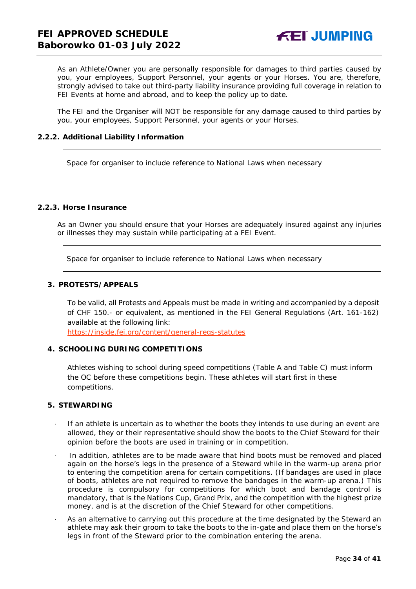As an Athlete/Owner you are personally responsible for damages to third parties caused by you, your employees, Support Personnel, your agents or your Horses. You are, therefore, strongly advised to take out third-party liability insurance providing full coverage in relation to FEI Events at home and abroad, and to keep the policy up to date.

The FEI and the Organiser will NOT be responsible for any damage caused to third parties by you, your employees, Support Personnel, your agents or your Horses.

### **2.2.2. Additional Liability Information**

Space for organiser to include reference to National Laws when necessary

# **2.2.3. Horse Insurance**

As an Owner you should ensure that your Horses are adequately insured against any injuries or illnesses they may sustain while participating at a FEI Event.

Space for organiser to include reference to National Laws when necessary

#### <span id="page-33-0"></span>**3. PROTESTS/APPEALS**

To be valid, all Protests and Appeals must be made in writing and accompanied by a deposit of CHF 150.- or equivalent, as mentioned in the FEI General Regulations (Art. 161-162) available at the following link:

<https://inside.fei.org/content/general-regs-statutes>

# <span id="page-33-1"></span>**4. SCHOOLING DURING COMPETITIONS**

Athletes wishing to school during speed competitions (Table A and Table C) must inform the OC before these competitions begin. These athletes will start first in these competitions.

#### <span id="page-33-2"></span>**5. STEWARDING**

- If an athlete is uncertain as to whether the boots they intends to use during an event are allowed, they or their representative should show the boots to the Chief Steward for their opinion before the boots are used in training or in competition.
- In addition, athletes are to be made aware that hind boots must be removed and placed again on the horse's legs in the presence of a Steward while in the warm-up arena prior to entering the competition arena for certain competitions. (If bandages are used in place of boots, athletes are not required to remove the bandages in the warm-up arena.) This procedure is compulsory for competitions for which boot and bandage control is mandatory, that is the Nations Cup, Grand Prix, and the competition with the highest prize money, and is at the discretion of the Chief Steward for other competitions.
- As an alternative to carrying out this procedure at the time designated by the Steward an athlete may ask their groom to take the boots to the in-gate and place them on the horse's legs in front of the Steward prior to the combination entering the arena.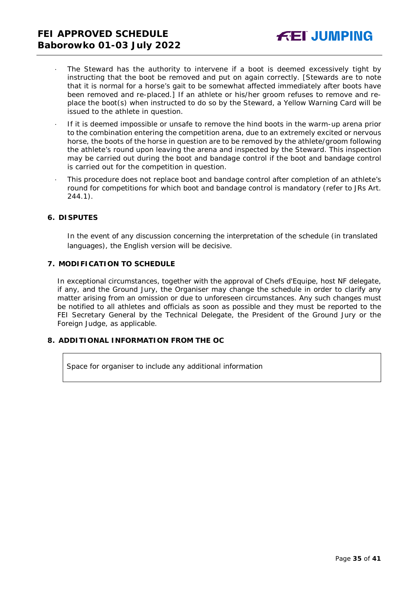- The Steward has the authority to intervene if a boot is deemed excessively tight by instructing that the boot be removed and put on again correctly. *[Stewards are to note that it is normal for a horse's gait to be somewhat affected immediately after boots have been removed and re-placed.]* If an athlete or his/her groom refuses to remove and replace the boot(s) when instructed to do so by the Steward, a Yellow Warning Card will be issued to the athlete in question.
- · If it is deemed impossible or unsafe to remove the hind boots in the warm-up arena prior to the combination entering the competition arena, due to an extremely excited or nervous horse, the boots of the horse in question are to be removed by the athlete/groom following the athlete's round upon leaving the arena and inspected by the Steward. This inspection may be carried out during the boot and bandage control if the boot and bandage control is carried out for the competition in question.
- · This procedure does not replace boot and bandage control after completion of an athlete's round for competitions for which boot and bandage control is mandatory (refer to JRs Art. 244.1).

#### <span id="page-34-0"></span>**6. DISPUTES**

In the event of any discussion concerning the interpretation of the schedule (in translated languages), the English version will be decisive.

#### <span id="page-34-1"></span>**7. MODIFICATION TO SCHEDULE**

In exceptional circumstances, together with the approval of Chefs d'Equipe, host NF delegate, if any, and the Ground Jury, the Organiser may change the schedule in order to clarify any matter arising from an omission or due to unforeseen circumstances. Any such changes must be notified to all athletes and officials as soon as possible and they must be reported to the FEI Secretary General by the Technical Delegate, the President of the Ground Jury or the Foreign Judge, as applicable.

# <span id="page-34-2"></span>**8. ADDITIONAL INFORMATION FROM THE OC**

Space for organiser to include any additional information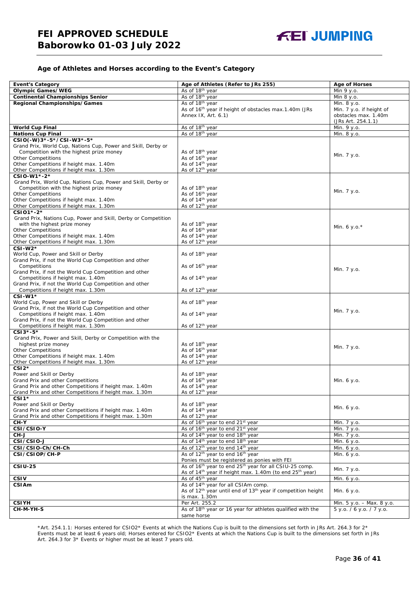#### **Age of Athletes and Horses according to the Event's Category**

| <b>Event's Category</b>                                                                                   | Age of Athletes (Refer to JRs 255)                                                                                             | <b>Age of Horses</b>      |
|-----------------------------------------------------------------------------------------------------------|--------------------------------------------------------------------------------------------------------------------------------|---------------------------|
| <b>Olympic Games/WEG</b>                                                                                  | As of 18 <sup>th</sup> year                                                                                                    | Min 9 y.o.                |
| <b>Continental Championships Senior</b>                                                                   | As of 18 <sup>th</sup> year                                                                                                    | Min 8 y.o.                |
| Regional Championships/Games                                                                              | As of 18 <sup>th</sup> year                                                                                                    | Min. 8 y.o.               |
|                                                                                                           | As of 16 <sup>th</sup> year if height of obstacles max.1.40m (JRs                                                              | Min. 7 y.o. if height of  |
|                                                                                                           | Annex IX, Art. 6.1)                                                                                                            | obstacles max. 1.40m      |
|                                                                                                           |                                                                                                                                | (JRs Art. 254.1.1)        |
| <b>World Cup Final</b>                                                                                    | As of 18th year                                                                                                                | Min. 9 y.o.               |
| <b>Nations Cup Final</b>                                                                                  | As of 18th year                                                                                                                | Min. 8 y.o.               |
| CSIO(-W)3*-5*/CSI-W3*-5*                                                                                  |                                                                                                                                |                           |
| Grand Prix, World Cup, Nations Cup, Power and Skill, Derby or                                             |                                                                                                                                |                           |
| Competition with the highest prize money                                                                  | As of 18 <sup>th</sup> year                                                                                                    | Min. 7 y.o.               |
| <b>Other Competitions</b>                                                                                 | As of 16th year                                                                                                                |                           |
| Other Competitions if height max. 1.40m                                                                   | As of 14 <sup>th</sup> year                                                                                                    |                           |
| Other Competitions if height max. 1.30m                                                                   | As of 12 <sup>th</sup> year                                                                                                    |                           |
| CSIO-W1*-2*                                                                                               |                                                                                                                                |                           |
| Grand Prix, World Cup, Nations Cup, Power and Skill, Derby or<br>Competition with the highest prize money | As of 18 <sup>th</sup> year                                                                                                    |                           |
| <b>Other Competitions</b>                                                                                 | As of 16 <sup>th</sup> year                                                                                                    | Min. 7 y.o.               |
| Other Competitions if height max. 1.40m                                                                   | As of 14 <sup>th</sup> year                                                                                                    |                           |
| Other Competitions if height max. 1.30m                                                                   | As of 12 <sup>th</sup> year                                                                                                    |                           |
| CSI01*-2*                                                                                                 |                                                                                                                                |                           |
| Grand Prix, Nations Cup, Power and Skill, Derby or Competition                                            |                                                                                                                                |                           |
| with the highest prize money                                                                              | As of 18 <sup>th</sup> year                                                                                                    |                           |
| <b>Other Competitions</b>                                                                                 | As of 16 <sup>th</sup> year                                                                                                    | Min. 6 y.o. $*$           |
| Other Competitions if height max. 1.40m                                                                   | As of 14 <sup>th</sup> year                                                                                                    |                           |
| Other Competitions if height max. 1.30m                                                                   | As of 12 <sup>th</sup> year                                                                                                    |                           |
| $CSI-W2*$                                                                                                 |                                                                                                                                |                           |
| World Cup, Power and Skill or Derby                                                                       | As of 18 <sup>th</sup> year                                                                                                    |                           |
| Grand Prix, if not the World Cup Competition and other                                                    |                                                                                                                                |                           |
| Competitions                                                                                              | As of 16 <sup>th</sup> year                                                                                                    | Min. 7 y.o.               |
| Grand Prix, if not the World Cup Competition and other                                                    |                                                                                                                                |                           |
| Competitions if height max. 1.40m<br>Grand Prix, if not the World Cup Competition and other               | As of 14 <sup>th</sup> year                                                                                                    |                           |
| Competitions if height max. 1.30m                                                                         | As of 12 <sup>th</sup> year                                                                                                    |                           |
| $CSI-W1*$                                                                                                 |                                                                                                                                |                           |
| World Cup, Power and Skill or Derby                                                                       | As of 18 <sup>th</sup> year                                                                                                    |                           |
| Grand Prix, if not the World Cup Competition and other                                                    |                                                                                                                                |                           |
| Competitions if height max. 1.40m                                                                         | As of 14 <sup>th</sup> year                                                                                                    | Min. 7 y.o.               |
| Grand Prix, if not the World Cup Competition and other                                                    |                                                                                                                                |                           |
| Competitions if height max. 1.30m                                                                         | As of 12 <sup>th</sup> year                                                                                                    |                           |
| $CSI3*-5*$                                                                                                |                                                                                                                                |                           |
| Grand Prix, Power and Skill, Derby or Competition with the                                                |                                                                                                                                |                           |
| highest prize money                                                                                       | As of 18 <sup>th</sup> year                                                                                                    | Min. 7 y.o.               |
| <b>Other Competitions</b>                                                                                 | As of 16 <sup>th</sup> year                                                                                                    |                           |
| Other Competitions if height max. 1.40m                                                                   | As of 14 <sup>th</sup> year                                                                                                    |                           |
| Other Competitions if height max. 1.30m<br>$CSI2*$                                                        | As of 12 <sup>th</sup> year                                                                                                    |                           |
| Power and Skill or Derby                                                                                  | As of 18th year                                                                                                                |                           |
| Grand Prix and other Competitions                                                                         | As of 16 <sup>th</sup> year                                                                                                    | Min. 6 y.o.               |
| Grand Prix and other Competitions if height max. 1.40m                                                    | As of 14 <sup>th</sup> year                                                                                                    |                           |
| Grand Prix and other Competitions if height max. 1.30m                                                    | As of 12 <sup>th</sup> year                                                                                                    |                           |
| $CSI1*$                                                                                                   |                                                                                                                                |                           |
| Power and Skill or Derby                                                                                  | As of 18 <sup>th</sup> year                                                                                                    |                           |
| Grand Prix and other Competitions if height max. 1.40m                                                    | As of 14 <sup>th</sup> year                                                                                                    | Min. 6 y.o.               |
| Grand Prix and other Competitions if height max. 1.30m                                                    | As of 12 <sup>th</sup> year                                                                                                    |                           |
| CH-Y                                                                                                      | As of 16 <sup>th</sup> year to end 21 <sup>st</sup> year                                                                       | Min. 7 y.o.               |
| CSI/CSIO-Y                                                                                                | As of 16 <sup>th</sup> year to end 21 <sup>st</sup> year                                                                       | Min. 7 y.o.               |
| CH-J                                                                                                      | As of 14 <sup>th</sup> year to end 18 <sup>th</sup> year                                                                       | Min. 7 y.o.               |
| CSI/CSIO-J                                                                                                | As of 14 <sup>th</sup> year to end 18 <sup>th</sup> year                                                                       | Min. 6 y.o.               |
| CSI/CSIO-Ch/CH-Ch                                                                                         | As of 12 <sup>th</sup> year to end 14 <sup>th</sup> year                                                                       | Min. 6 y.o.               |
| CSI/CSIOP/CH-P                                                                                            | As of 12 <sup>th</sup> year to end 16 <sup>th</sup> year                                                                       | Min. 6 y.o.               |
| <b>CSIU-25</b>                                                                                            | Ponies must be registered as ponies with FEI<br>As of 16 <sup>th</sup> year to end 25 <sup>th</sup> year for all CSIU-25 comp. |                           |
|                                                                                                           |                                                                                                                                | Min. 7 y.o.               |
| <b>CSIV</b>                                                                                               | As of 14 <sup>th</sup> year if height max. 1.40m (to end 25 <sup>th</sup> year)<br>As of 45 <sup>th</sup> year                 |                           |
| <b>CSIAm</b>                                                                                              | As of 14 <sup>th</sup> year for all CSIAm comp.                                                                                | Min. 6 y.o.               |
|                                                                                                           | As of 12 <sup>th</sup> year until end of 13 <sup>th</sup> year if competition height                                           | Min. 6 y.o.               |
|                                                                                                           | is max. 1.30m                                                                                                                  |                           |
| <b>CSIYH</b>                                                                                              | Per Art. 255.2                                                                                                                 | Min. 5 y.o. - Max. 8 y.o. |
| CH-M-YH-S                                                                                                 | As of 18th year or 16 year for athletes qualified with the                                                                     | 5 y.o. / 6 y.o. / 7 y.o.  |
|                                                                                                           | same horse                                                                                                                     |                           |

\*Art. 254.1.1: Horses entered for CSIO2\* Events at which the Nations Cup is built to the dimensions set forth in JRs Art. 264.3 for 2\* Events must be at least 6 years old; Horses entered for CSIO2\* Events at which the Nations Cup is built to the dimensions set forth in JRs Art. 264.3 for 3\* Events or higher must be at least 7 years old.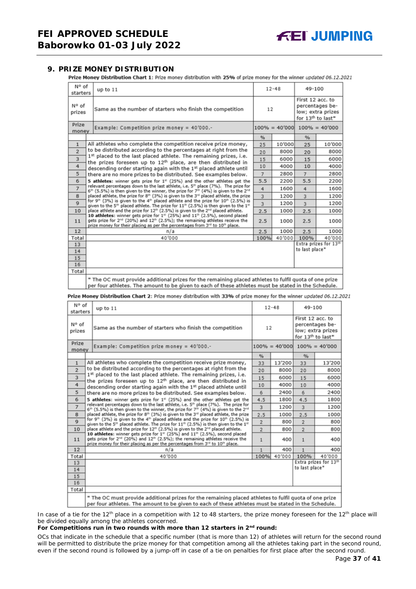## <span id="page-36-0"></span>**9. PRIZE MONEY DISTRIBUTION**

Prize Money Distribution Chart 1: Prize money distribution with 25% of prize money for the winner updated 06.12.2021

| N° of<br>starters | up to 11                                                                                                                                                                                                                                                                                                                                                                                                                                                                                                                                                                                                                                                                         | $12 - 48$                         |        | 49-100                                                                                    |                       |
|-------------------|----------------------------------------------------------------------------------------------------------------------------------------------------------------------------------------------------------------------------------------------------------------------------------------------------------------------------------------------------------------------------------------------------------------------------------------------------------------------------------------------------------------------------------------------------------------------------------------------------------------------------------------------------------------------------------|-----------------------------------|--------|-------------------------------------------------------------------------------------------|-----------------------|
| N° of<br>prizes   | Same as the number of starters who finish the competition                                                                                                                                                                                                                                                                                                                                                                                                                                                                                                                                                                                                                        | 12                                |        | First 12 acc. to<br>percentages be-<br>low; extra prizes<br>for 13 <sup>th</sup> to last* |                       |
| Prize<br>money    | Example: Competition prize money = $40'000$ .-                                                                                                                                                                                                                                                                                                                                                                                                                                                                                                                                                                                                                                   | $100\% = 40'000$ $100\% = 40'000$ |        |                                                                                           |                       |
|                   |                                                                                                                                                                                                                                                                                                                                                                                                                                                                                                                                                                                                                                                                                  | %                                 |        | %                                                                                         |                       |
| $\mathbf{1}$      | All athletes who complete the competition receive prize money,                                                                                                                                                                                                                                                                                                                                                                                                                                                                                                                                                                                                                   | 25                                | 10'000 | 25                                                                                        | 10'000                |
| $\overline{2}$    | to be distributed according to the percentages at right from the                                                                                                                                                                                                                                                                                                                                                                                                                                                                                                                                                                                                                 | 20                                | 8000   | 20                                                                                        | 8000                  |
| 3                 | 1st placed to the last placed athlete. The remaining prizes, i.e.<br>the prizes foreseen up to 12 <sup>th</sup> place, are then distributed in                                                                                                                                                                                                                                                                                                                                                                                                                                                                                                                                   | 15                                | 6000   | 15                                                                                        | 6000                  |
| 4                 | descending order starting again with the 1st placed athlete until                                                                                                                                                                                                                                                                                                                                                                                                                                                                                                                                                                                                                | 10                                | 4000   | 10                                                                                        | 4000                  |
| 5                 | there are no more prizes to be distributed. See examples below.                                                                                                                                                                                                                                                                                                                                                                                                                                                                                                                                                                                                                  |                                   | 2800   | $\overline{7}$                                                                            | 2800                  |
| 6                 | 5 athletes: winner gets prize for 1 <sup>#</sup> (25%) and the other athletes get the                                                                                                                                                                                                                                                                                                                                                                                                                                                                                                                                                                                            |                                   |        | 5.5                                                                                       | 2200                  |
| $\overline{7}$    | relevant percentages down to the last athlete, i.e. 5 <sup>th</sup> place (7%). The prize for<br>$6th$ (5.5%) is then given to the winner, the prize for 7 <sup>th</sup> (4%) is given to the 2 <sup>nd</sup><br>placed athlete, the prize for 8th (3%) is given to the 3rd placed athlete, the prize<br>8<br>for 9 <sup>th</sup> (3%) is given to the 4 <sup>th</sup> placed athlete and the prize for 10 <sup>th</sup> (2.5%) is<br>$\mathbf{Q}$<br>given to the 5 <sup>th</sup> placed athlete. The prize for $11^{th}$ (2.5%) is then given to the $1^{th}$<br>place athlete and the prize for 12 <sup>th</sup> (2.5%) is given to the 2 <sup>nd</sup> placed athlete.<br>10 |                                   | 1600   | 4                                                                                         | 1600                  |
|                   |                                                                                                                                                                                                                                                                                                                                                                                                                                                                                                                                                                                                                                                                                  |                                   | 1200   | $\overline{3}$                                                                            | 1200                  |
|                   |                                                                                                                                                                                                                                                                                                                                                                                                                                                                                                                                                                                                                                                                                  |                                   | 1200   | $\overline{3}$                                                                            | 1200                  |
|                   |                                                                                                                                                                                                                                                                                                                                                                                                                                                                                                                                                                                                                                                                                  |                                   | 1000   | 2.5                                                                                       | 1000                  |
| 11                | 10 athletes: winner gets prize for 1 <sup>st</sup> (25%) and 11 <sup>th</sup> (2.5%), second placed<br>gets prize for 2 <sup>nd</sup> (20%) and 12 <sup>th</sup> (2.5%); the remaining athletes receive the<br>prize money for their placing as per the percentages from 3 <sup>rd</sup> to 10 <sup>th</sup> place.                                                                                                                                                                                                                                                                                                                                                              | 2.5                               | 1000   | 2.5                                                                                       | 1000                  |
| 12                | n/a                                                                                                                                                                                                                                                                                                                                                                                                                                                                                                                                                                                                                                                                              | 2.5                               | 1000   | 2.5                                                                                       | 1000                  |
| Total             | 40'000                                                                                                                                                                                                                                                                                                                                                                                                                                                                                                                                                                                                                                                                           | 100%                              | 40'000 | 100%                                                                                      | 40'000                |
| 13                |                                                                                                                                                                                                                                                                                                                                                                                                                                                                                                                                                                                                                                                                                  |                                   |        |                                                                                           | Extra prizes for 13th |
| 14                |                                                                                                                                                                                                                                                                                                                                                                                                                                                                                                                                                                                                                                                                                  |                                   |        | to last place*                                                                            |                       |
| 15                |                                                                                                                                                                                                                                                                                                                                                                                                                                                                                                                                                                                                                                                                                  |                                   |        |                                                                                           |                       |
| 16                |                                                                                                                                                                                                                                                                                                                                                                                                                                                                                                                                                                                                                                                                                  |                                   |        |                                                                                           |                       |
| Total             |                                                                                                                                                                                                                                                                                                                                                                                                                                                                                                                                                                                                                                                                                  |                                   |        |                                                                                           |                       |
|                   | * The OC must provide additional prizes for the remaining placed athletes to fulfil quota of one prize<br>per four athletes. The amount to be given to each of these athletes must be stated in the Schedule.                                                                                                                                                                                                                                                                                                                                                                                                                                                                    |                                   |        |                                                                                           |                       |

Prize Money Distribution Chart 2: Prize money distribution with 33% of prize money for the winner updated 06.12.2021

| N° of<br>starters | up to $11$                                                                                                                                                                                                                                                                                                                                                                                                                                                                                                                                                                                                                                                                      |               | $12 - 48$ |                                                                                           | 49-100                |  |
|-------------------|---------------------------------------------------------------------------------------------------------------------------------------------------------------------------------------------------------------------------------------------------------------------------------------------------------------------------------------------------------------------------------------------------------------------------------------------------------------------------------------------------------------------------------------------------------------------------------------------------------------------------------------------------------------------------------|---------------|-----------|-------------------------------------------------------------------------------------------|-----------------------|--|
| N° of<br>prizes   | Same as the number of starters who finish the competition                                                                                                                                                                                                                                                                                                                                                                                                                                                                                                                                                                                                                       | 12            |           | First 12 acc. to<br>percentages be-<br>low; extra prizes<br>for 13 <sup>th</sup> to last* |                       |  |
| Prize<br>money    | Example: Competition prize money = 40'000.-                                                                                                                                                                                                                                                                                                                                                                                                                                                                                                                                                                                                                                     |               |           | $100\% = 40'000$ $100\% = 40'000$                                                         |                       |  |
|                   |                                                                                                                                                                                                                                                                                                                                                                                                                                                                                                                                                                                                                                                                                 | $\frac{9}{6}$ |           | %                                                                                         |                       |  |
| $\mathbf{1}$      | All athletes who complete the competition receive prize money,                                                                                                                                                                                                                                                                                                                                                                                                                                                                                                                                                                                                                  | 33            | 13'200    | 33                                                                                        | 13'200                |  |
| $\overline{2}$    | to be distributed according to the percentages at right from the                                                                                                                                                                                                                                                                                                                                                                                                                                                                                                                                                                                                                | 20            | 8000      | 20                                                                                        | 8000                  |  |
| 3                 | 1st placed to the last placed athlete. The remaining prizes, i.e.<br>the prizes foreseen up to 12 <sup>th</sup> place, are then distributed in                                                                                                                                                                                                                                                                                                                                                                                                                                                                                                                                  | 15            | 6000      | 15                                                                                        | 6000                  |  |
| 4                 | descending order starting again with the 1st placed athlete until                                                                                                                                                                                                                                                                                                                                                                                                                                                                                                                                                                                                               | 10            | 4000      | 10                                                                                        | 4000                  |  |
| 5                 | there are no more prizes to be distributed. See examples below.                                                                                                                                                                                                                                                                                                                                                                                                                                                                                                                                                                                                                 | 6             | 2400      | 6                                                                                         | 2400                  |  |
| 6                 | 5 athletes: winner gets prize for $1st$ (25%) and the other athletes get the                                                                                                                                                                                                                                                                                                                                                                                                                                                                                                                                                                                                    |               |           | 4.5                                                                                       | 1800                  |  |
| $\overline{7}$    | relevant percentages down to the last athlete, i.e. 5 <sup>th</sup> place (7%). The prize for<br>6 <sup>th</sup> (5.5%) is then given to the winner, the prize for 7 <sup>th</sup> (4%) is given to the 2 <sup>nd</sup><br>placed athlete, the prize for 8th (3%) is given to the 3 <sup>rd</sup> placed athlete, the prize<br>8<br>for 9th (3%) is given to the 4th placed athlete and the prize for 10th (2.5%) is<br>$\mathbf Q$<br>given to the 5 <sup>th</sup> placed athlete. The prize for 11 <sup>th</sup> (2.5%) is then given to the 1 <sup>st</sup><br>place athlete and the prize for 12 <sup>th</sup> (2.5%) is given to the 2 <sup>rd</sup> placed athlete.<br>10 |               | 1200      | $\overline{3}$                                                                            | 1200                  |  |
|                   |                                                                                                                                                                                                                                                                                                                                                                                                                                                                                                                                                                                                                                                                                 |               | 1000      | 2.5                                                                                       | 1000                  |  |
|                   |                                                                                                                                                                                                                                                                                                                                                                                                                                                                                                                                                                                                                                                                                 |               | 800       | $\overline{2}$                                                                            | 800                   |  |
|                   |                                                                                                                                                                                                                                                                                                                                                                                                                                                                                                                                                                                                                                                                                 |               | 800       | $\overline{2}$                                                                            | 800                   |  |
| 11                | 10 athletes: winner gets prize for 1st (25%) and 11th (2.5%), second placed<br>gets prize for 2 <sup>nd</sup> (20%) and 12 <sup>th</sup> (2.5%); the remaining athletes receive the<br>prize money for their placing as per the percentages from 3rd to 10th place.                                                                                                                                                                                                                                                                                                                                                                                                             | $\mathbf{1}$  | 400       | $\mathbf{1}$                                                                              | 400                   |  |
| 12                | n/a                                                                                                                                                                                                                                                                                                                                                                                                                                                                                                                                                                                                                                                                             | 1             | 400       | 1                                                                                         | 400                   |  |
| Total             | 40'000                                                                                                                                                                                                                                                                                                                                                                                                                                                                                                                                                                                                                                                                          | 100%          | 40'000    | 100%                                                                                      | 40'000                |  |
| 13                |                                                                                                                                                                                                                                                                                                                                                                                                                                                                                                                                                                                                                                                                                 |               |           |                                                                                           | Extra prizes for 13th |  |
| 14                |                                                                                                                                                                                                                                                                                                                                                                                                                                                                                                                                                                                                                                                                                 |               |           | to last place*                                                                            |                       |  |
| 15                |                                                                                                                                                                                                                                                                                                                                                                                                                                                                                                                                                                                                                                                                                 |               |           |                                                                                           |                       |  |
| 16                |                                                                                                                                                                                                                                                                                                                                                                                                                                                                                                                                                                                                                                                                                 |               |           |                                                                                           |                       |  |
| Total             |                                                                                                                                                                                                                                                                                                                                                                                                                                                                                                                                                                                                                                                                                 |               |           |                                                                                           |                       |  |
|                   | * The OC must provide additional prizes for the remaining placed athletes to fulfil quota of one prize<br>per four athletes. The amount to be given to each of these athletes must be stated in the Schedule.                                                                                                                                                                                                                                                                                                                                                                                                                                                                   |               |           |                                                                                           |                       |  |

In case of a tie for the 12<sup>th</sup> place in a competition with 12 to 48 starters, the prize money foreseen for the 12<sup>th</sup> place will be divided equally among the athletes concerned.

#### **For Competitions run in two rounds with more than 12 starters in 2nd round:**

*OCs that indicate in the schedule that a specific number (that is more than 12) of athletes will return for the second round will be permitted to distribute the prize money for that competition among all the athletes taking part in the second round, even if the second round is followed by a jump-off in case of a tie on penalties for first place after the second round.*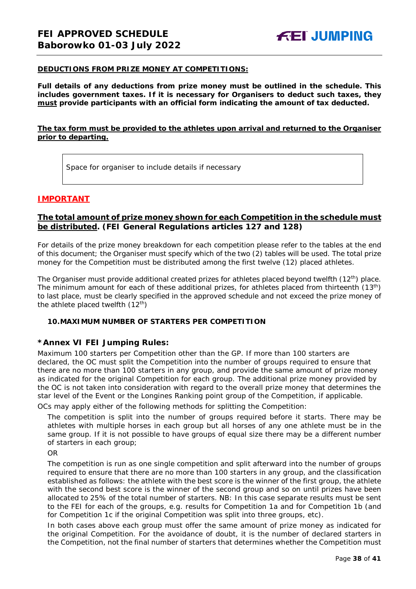#### **DEDUCTIONS FROM PRIZE MONEY AT COMPETITIONS:**

**Full details of any deductions from prize money must be outlined in the schedule. This includes government taxes. If it is necessary for Organisers to deduct such taxes, they must provide participants with an official form indicating the amount of tax deducted.** 

# **The tax form must be provided to the athletes upon arrival and returned to the Organiser prior to departing.**

Space for organiser to include details if necessary

# **IMPORTANT**

# **The total amount of prize money shown for each Competition in the schedule must be distributed. (FEI General Regulations articles 127 and 128)**

For details of the prize money breakdown for each competition please refer to the tables at the end of this document; the Organiser must specify which of the two (2) tables will be used. The total prize money for the Competition must be distributed among the first twelve (12) placed athletes.

The Organiser must provide additional created prizes for athletes placed beyond twelfth (12<sup>th</sup>) place. The minimum amount for each of these additional prizes, for athletes placed from thirteenth (13<sup>th</sup>) to last place, must be clearly specified in the approved schedule and not exceed the prize money of the athlete placed twelfth  $(12<sup>th</sup>)$ 

# <span id="page-37-0"></span>**10.MAXIMUM NUMBER OF STARTERS PER COMPETITION**

# **\*Annex VI FEI Jumping Rules:**

Maximum 100 starters per Competition other than the GP. If more than 100 starters are declared, the OC must split the Competition into the number of groups required to ensure that there are no more than 100 starters in any group, and provide the same amount of prize money as indicated for the original Competition for each group. The additional prize money provided by the OC is not taken into consideration with regard to the overall prize money that determines the star level of the Event or the Longines Ranking point group of the Competition, if applicable.

OCs may apply either of the following methods for splitting the Competition:

The competition is split into the number of groups required before it starts. There may be athletes with multiple horses in each group but all horses of any one athlete must be in the same group. If it is not possible to have groups of equal size there may be a different number of starters in each group;

OR

The competition is run as one single competition and split afterward into the number of groups required to ensure that there are no more than 100 starters in any group, and the classification established as follows: the athlete with the best score is the winner of the first group, the athlete with the second best score is the winner of the second group and so on until prizes have been allocated to 25% of the total number of starters. *NB: In this case separate results must be sent to the FEI for each of the groups, e.g. results for Competition 1a and for Competition 1b (and for Competition 1c if the original Competition was split into three groups, etc).*

In both cases above each group must offer the same amount of prize money as indicated for the original Competition. For the avoidance of doubt, it is the number of declared starters in the Competition, not the final number of starters that determines whether the Competition must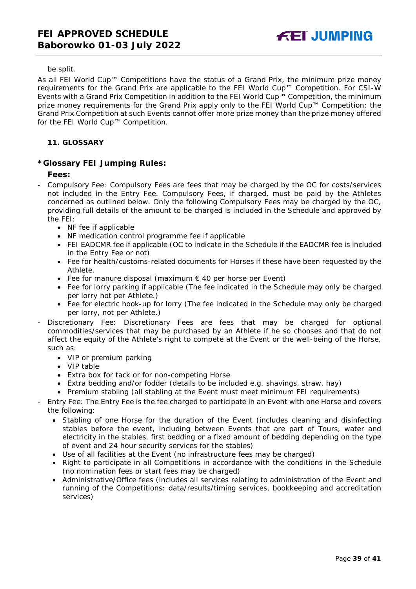### be split.

As all FEI World Cup™ Competitions have the status of a Grand Prix, the minimum prize money requirements for the Grand Prix are applicable to the FEI World Cup™ Competition. For CSI-W Events with a Grand Prix Competition in addition to the FEI World Cup™ Competition, the minimum prize money requirements for the Grand Prix apply only to the FEI World Cup™ Competition; the Grand Prix Competition at such Events cannot offer more prize money than the prize money offered for the FEI World Cup™ Competition.

# <span id="page-38-0"></span>**11. GLOSSARY**

# **\*Glossary FEI Jumping Rules:**

# **Fees:**

- Compulsory Fee: Compulsory Fees are fees that may be charged by the OC for costs/services not included in the Entry Fee. Compulsory Fees, if charged, must be paid by the Athletes concerned as outlined below. Only the following Compulsory Fees may be charged by the OC, providing full details of the amount to be charged is included in the Schedule and approved by the FEI:
	- NF fee if applicable
	- NF medication control programme fee if applicable
	- FEI EADCMR fee if applicable (OC to indicate in the Schedule if the EADCMR fee is included in the Entry Fee or not)
	- Fee for health/customs-related documents for Horses if these have been requested by the Athlete.
	- Fee for manure disposal (maximum € 40 per horse per Event)
	- Fee for lorry parking if applicable (The fee indicated in the Schedule may only be charged per lorry not per Athlete.)
	- Fee for electric hook-up for lorry (The fee indicated in the Schedule may only be charged per lorry, not per Athlete.)
- Discretionary Fee: Discretionary Fees are fees that may be charged for optional commodities/services that may be purchased by an Athlete if he so chooses and that do not affect the equity of the Athlete's right to compete at the Event or the well-being of the Horse, such as:
	- VIP or premium parking
	- VIP table
	- Extra box for tack or for non-competing Horse
	- Extra bedding and/or fodder (details to be included e.g. shavings, straw, hay)
	- Premium stabling (all stabling at the Event must meet minimum FEI requirements)
- Entry Fee: The Entry Fee is the fee charged to participate in an Event with one Horse and covers the following:
	- Stabling of one Horse for the duration of the Event (includes cleaning and disinfecting stables before the event, including between Events that are part of Tours, water and electricity in the stables, first bedding or a fixed amount of bedding depending on the type of event and 24 hour security services for the stables)
	- Use of all facilities at the Event (no infrastructure fees may be charged)
	- Right to participate in all Competitions in accordance with the conditions in the Schedule (no nomination fees or start fees may be charged)
	- Administrative/Office fees (includes all services relating to administration of the Event and running of the Competitions: data/results/timing services, bookkeeping and accreditation services)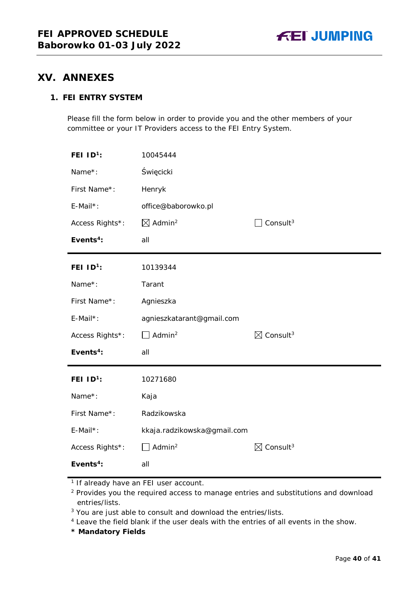# <span id="page-39-0"></span>**XV. ANNEXES**

# **1. FEI ENTRY SYSTEM**

Please fill the form below in order to provide you and the other members of your committee or your IT Providers access to the FEI Entry System.

| FEI $1D^1$ :          | 10045444                       |                                  |
|-----------------------|--------------------------------|----------------------------------|
| Name*:                | Święcicki                      |                                  |
| First Name*:          | Henryk                         |                                  |
| $E$ -Mail*:           | office@baborowko.pl            |                                  |
| Access Rights*:       | $\boxtimes$ Admin <sup>2</sup> | Consult <sup>3</sup>             |
| Events <sup>4</sup> : | all                            |                                  |
| FEI $ID^1$ :          | 10139344                       |                                  |
| Name*:                | Tarant                         |                                  |
| First Name*:          | Agnieszka                      |                                  |
| $E$ -Mail*:           | agnieszkatarant@gmail.com      |                                  |
| Access Rights*:       | $\Box$ Admin <sup>2</sup>      | $\boxtimes$ Consult <sup>3</sup> |
| Events <sup>4</sup> : | all                            |                                  |
| FEI $1D^1$ :          | 10271680                       |                                  |
| Name*:                | Kaja                           |                                  |
| First Name*:          | Radzikowska                    |                                  |
| E-Mail*:              | kkaja.radzikowska@gmail.com    |                                  |
|                       |                                |                                  |
| Access Rights*:       | $\Box$ Admin <sup>2</sup>      | $\boxtimes$ Consult <sup>3</sup> |

**\* Mandatory Fields**

<sup>&</sup>lt;sup>1</sup> If already have an FEI user account.

<sup>&</sup>lt;sup>2</sup> Provides you the required access to manage entries and substitutions and download entries/lists.

<sup>&</sup>lt;sup>3</sup> You are just able to consult and download the entries/lists.

<sup>4</sup> Leave the field blank if the user deals with the entries of all events in the show.